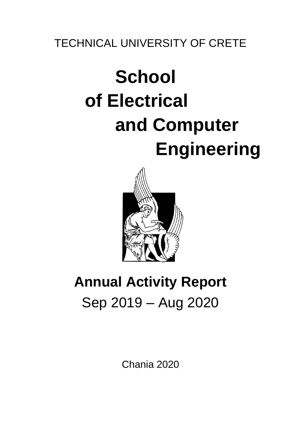## TECHNICAL UNIVERSITY OF CRETE

# **School of Electrical and Computer Engineering**



## **Annual Activity Report** Sep 2019 – Aug 2020

Chania 2020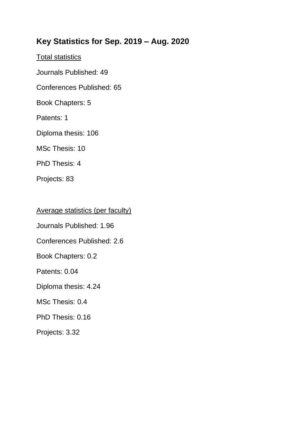## **Key Statistics for Sep. 2019 – Aug. 2020**

Total statistics

Journals Published: 49

Conferences Published: 65

Book Chapters: 5

Patents: 1

Diploma thesis: 106

MSc Thesis: 10

PhD Thesis: 4

Projects: 83

Average statistics (per faculty)

Journals Published: 1.96

Conferences Published: 2.6

Book Chapters: 0.2

Patents: 0.04

Diploma thesis: 4.24

MSc Thesis: 0.4

PhD Thesis: 0.16

Projects: 3.32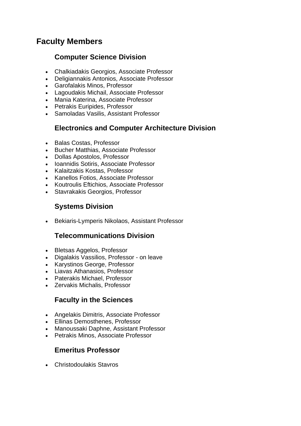## **Faculty Members**

#### **Computer Science Division**

- Chalkiadakis Georgios, Associate Professor
- Deligiannakis Antonios, Associate Professor
- Garofalakis Minos, Professor
- Lagoudakis Michail, Associate Professor
- Mania Katerina, Associate Professor
- Petrakis Euripides, Professor
- Samoladas Vasilis, Assistant Professor

#### **Electronics and Computer Architecture Division**

- Balas Costas, Professor
- Bucher Matthias, Associate Professor
- Dollas Apostolos, Professor
- Ioannidis Sotiris, Associate Professor
- Kalaitzakis Kostas, Professor
- Kanellos Fotios, Associate Professor
- Koutroulis Eftichios, Associate Professor
- Stavrakakis Georgios, Professor

#### **Systems Division**

• Bekiaris-Lymperis Nikolaos, Assistant Professor

#### **Telecommunications Division**

- Bletsas Aggelos, Professor
- Digalakis Vassilios, Professor on leave
- Karystinos George, Professor
- Liavas Athanasios, Professor
- Paterakis Michael, Professor
- Zervakis Michalis, Professor

#### **Faculty in the Sciences**

- Angelakis Dimitris, Associate Professor
- Ellinas Demosthenes, Professor
- Manoussaki Daphne, Assistant Professor
- Petrakis Minos, Associate Professor

#### **Emeritus Professor**

• Christodoulakis Stavros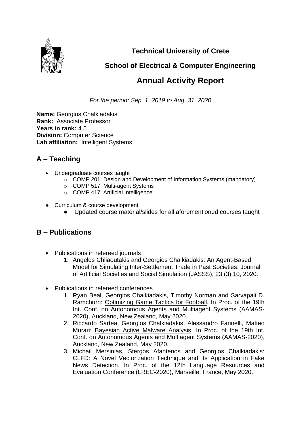

**Technical University of Crete**

**School of Electrical & Computer Engineering**

## **Annual Activity Report**

*For the period: Sep. 1, 2019 to Aug. 31, 2020*

**Name:** Georgios Chalkiadakis **Rank:** Associate Professor **Years in rank:** 4.5 **Division:** Computer Science **Lab affiliation:** Intelligent Systems

## **A – Teaching**

- Undergraduate courses taught
	- o COMP 201: Design and Development of Information Systems (mandatory)
	- o COMP 517: Multi-agent Systems
	- o COMP 417: Artificial Intelligence
- Curriculum & course development
	- Updated course material/slides for all aforementioned courses taught

- Publications in refereed journals
	- 1. Angelos Chliaoutakis and Georgios Chalkiadakis: [An Agent-Based](http://www.intelligence.tuc.gr/~gehalk/Papers/jasss-chliaoutakis-published-v23-i3-10.pdf)  [Model for Simulating Inter-Settlement Trade in Past Societies.](http://www.intelligence.tuc.gr/~gehalk/Papers/jasss-chliaoutakis-published-v23-i3-10.pdf) Journal of Artificial Societies and Social Simulation (JASSS), [23 \(3\) 10,](http://jasss.soc.surrey.ac.uk/23/3/10.html) 2020.
- Publications in refereed conferences
	- 1. Ryan Beal, Georgios Chalkiadakis, Timothy Norman and Sarvapali D. Ramchurn: [Optimizing Game Tactics for Football.](http://www.intelligence.tuc.gr/~gehalk/Papers/aamas2020-OptimGTfootball.pdf) In Proc. of the 19th Int. Conf. on Autonomous Agents and Multiagent Systems (AAMAS-2020), Auckland, New Zealand, May 2020.
	- 2. Riccardo Sartea, Georgios Chalkiadakis, Alessandro Farinelli, Matteo Murari: [Bayesian Active Malware Analysis.](http://www.intelligence.tuc.gr/~gehalk/Papers/aamas2020-BayesianActiveMalwareAnalysis.pdf) In Proc. of the 19th Int. Conf. on Autonomous Agents and Multiagent Systems (AAMAS-2020), Auckland, New Zealand, May 2020.
	- 3. Michail Mersinias, Stergos Afantenos and Georgios Chalkiadakis: [CLFD: A Novel Vectorization Technique and Its Application in Fake](http://www.intelligence.tuc.gr/~gehalk/Papers/mac-LREC2020-FakeNews.pdf)  [News Detection.](http://www.intelligence.tuc.gr/~gehalk/Papers/mac-LREC2020-FakeNews.pdf) In Proc. of the 12th Language Resources and Evaluation Conference (LREC-2020), Marseille, France, May 2020.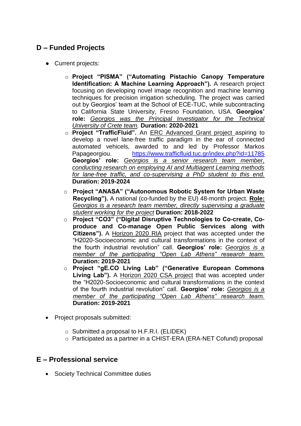#### **D – Funded Projects**

- Current projects:
	- o **Project "PISMA" ("Automating Pistachio Canopy Temperature Identification: A Machine Learning Approach").** A research project focusing on developing novel image recognition and machine learning techniques for precision irrigation scheduling. The project was carried out by Georgios' team at the School of ECE-TUC, while subcontracting to California State University, Fresno Foundation, USA. **Georgios' role:** *Georgios was the Principal Investigator for the Technical University of Crete team.* **Duration: 2020-2021**
	- o **Project "TrafficFluid".** An ERC Advanced Grant project aspiring to develop a novel lane-free traffic paradigm in the ear of connected automated vehicels, awarded to and led by Professor Markos Papageorgiou. <https://www.trafficfluid.tuc.gr/index.php?id=11785> **Georgios' role:** *Georgios is a senior research team member, conducting research on employing AI and Multiagent Learning methods for lane-free traffic, and co-supervising a PhD student to this end.* **Duration: 2019-2024**
	- o **Project "ANASA" ("Autonomous Robotic System for Urban Waste Recycling").** A national (co-funded by the EU) 48-month project. **Role:**  *Georgios is a research team member, directly supervising a graduate student working for the project* **Duration: 2018-2022**
	- o **Project "CO3" ("Digital Disruptive Technologies to Co-create, Coproduce and Co-manage Open Public Services along with Citizens").** A Horizon 2020 RIA project that was accepted under the "H2020-Socioeconomic and cultural transformations in the context of the fourth industrial revolution" call. **Georgios' role:** *Georgios is a member of the participating "Open Lab Athens" research team.* **Duration: 2019-2021**
	- o **Project "gE.CO Living Lab" ("Generative European Commons Living Lab").** A Horizon 2020 CSA project that was accepted under the "H2020-Socioeconomic and cultural transformations in the context of the fourth industrial revolution" call. **Georgios' role:** *Georgios is a member of the participating "Open Lab Athens" research team.* **Duration: 2019-2021**
- Project proposals submitted:
	- o Submitted a proposal to H.F.R.I. (ELIDEK)
	- o Participated as a partner in a CHIST-ERA (ERA-NET Cofund) proposal

#### **E – Professional service**

• Society Technical Committee duties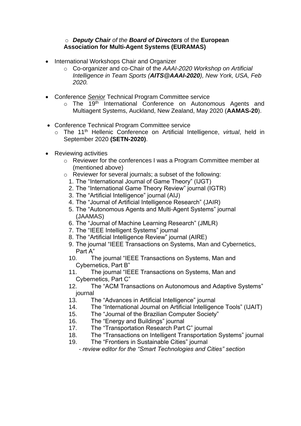#### o *Deputy Chair of the Board of Directors* of the **European Association for Multi-Agent Systems (EURAMAS)**

- International Workshops Chair and Organizer
	- o Co-organizer and co-Chair of the *AAAI-2020 Workshop on Artificial Intelligence in Team Sports (AITS@AAAI-2020), New York, USA, Feb 2020.*
- Conference *Senior* Technical Program Committee service
	- o The 19<sup>th</sup> International Conference on Autonomous Agents and Multiagent Systems, Auckland, New Zealand, May 2020 (**AAMAS-20**).
- Conference Technical Program Committee service
	- o The 11th Hellenic Conference on Artificial Intelligence, *virtual*, held in September 2020 **(SETN-2020)**.
- Reviewing activities
	- o Reviewer for the conferences I was a Program Committee member at (mentioned above)
	- o Reviewer for several journals; a subset of the following:
		- 1. The "International Journal of Game Theory" (IJGT)
		- 2. The "International Game Theory Review" journal (IGTR)
		- 3. The "Artificial Intelligence" journal (AIJ)
		- 4. The "Journal of Artificial Intelligence Research" (JAIR)
		- 5. The "Autonomous Agents and Multi-Agent Systems" journal (JAAMAS)
		- 6. The "Journal of Machine Learning Research" (JMLR)
		- 7. The "IEEE Intelligent Systems" journal
		- 8. The "Artificial Intelligence Review" journal (AIRE)
		- 9. The journal "IEEE Transactions on Systems, Man and Cybernetics, Part A"
		- 10. The journal "IEEE Transactions on Systems, Man and Cybernetics, Part B"
		- 11. The journal "IEEE Transactions on Systems, Man and Cybernetics, Part C"
		- 12. The "ACM Transactions on Autonomous and Adaptive Systems" journal
		- 13. The "Advances in Artificial Intelligence" journal
		- 14. The "International Journal on Artificial Intelligence Tools" (IJAIT)
		- 15. The "Journal of the Brazilian Computer Society"
		- 16. The "Energy and Buildings" journal
		- 17. The "Transportation Research Part C" journal
		- 18. The "Transactions on Intelligent Transportation Systems" journal
		- 19. The "Frontiers in Sustainable Cities" journal

 *- review editor for the "Smart Technologies and Cities" section*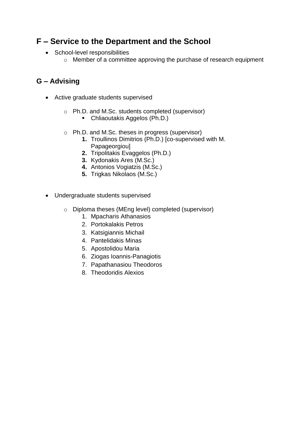## **F – Service to the Department and the School**

- School-level responsibilities
	- o Member of a committee approving the purchase of research equipment

- Active graduate students supervised
	- o Ph.D. and M.Sc. students completed (supervisor)
		- Chliaoutakis Aggelos (Ph.D.)
	- o Ph.D. and M.Sc. theses in progress (supervisor)
		- **1.** Troullinos Dimitrios (Ph.D.) [co-supervised with M. Papageorgiou]
			- **2.** Tripolitakis Evaggelos (Ph.D.)
			- **3.** Kydonakis Ares (M.Sc.)
			- **4.** Antonios Vogiatzis (M.Sc.)
			- **5.** Trigkas Nikolaos (M.Sc.)
- Undergraduate students supervised
	- o Diploma theses (MEng level) completed (supervisor)
		- 1. Mpacharis Athanasios
		- 2. Portokalakis Petros
		- 3. Katsigiannis Michail
		- 4. Pantelidakis Minas
		- 5. Apostolidou Maria
		- 6. Ziogas Ioannis-Panagiotis
		- 7. Papathanasiou Theodoros
		- 8. Theodoridis Alexios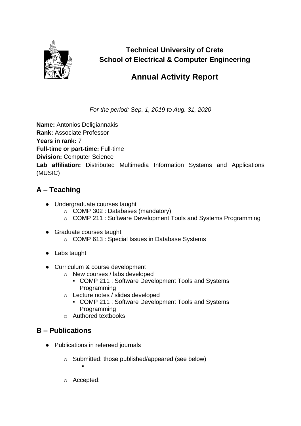

**Technical University of Crete School of Electrical & Computer Engineering**

## **Annual Activity Report**

*For the period: Sep. 1, 2019 to Aug. 31, 2020*

**Name:** Antonios Deligiannakis **Rank:** Associate Professor **Years in rank:** 7 **Full-time or part-time:** Full-time **Division:** Computer Science **Lab affiliation:** Distributed Multimedia Information Systems and Applications (MUSIC)

#### **A – Teaching**

- Undergraduate courses taught
	- o COMP 302 : Databases (mandatory)
	- o COMP 211 : Software Development Tools and Systems Programming
- Graduate courses taught
	- o COMP 613 : Special Issues in Database Systems
- Labs taught
- Curriculum & course development
	- o New courses / labs developed
		- COMP 211 : Software Development Tools and Systems Programming
	- o Lecture notes / slides developed
		- COMP 211 : Software Development Tools and Systems Programming
	- o Authored textbooks

#### **B – Publications**

- Publications in refereed journals
	- o Submitted: those published/appeared (see below)
	- o Accepted:

▪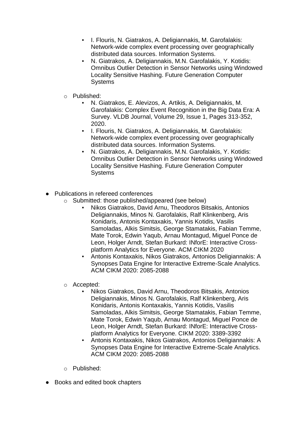- I. Flouris, N. Giatrakos, A. Deligiannakis, M. Garofalakis: Network-wide complex event processing over geographically distributed data sources. Information Systems.
- N. Giatrakos, A. Deligiannakis, M.N. Garofalakis, Y. Kotidis: Omnibus Outlier Detection in Sensor Networks using Windowed Locality Sensitive Hashing. Future Generation Computer **Systems**
- o Published:
	- N. Giatrakos, E. Alevizos, A. Artikis, A. Deligiannakis, M. Garofalakis: Complex Event Recognition in the Big Data Era: A Survey. VLDB Journal, Volume 29, Issue 1, Pages 313-352, 2020.
	- I. Flouris, N. Giatrakos, A. Deligiannakis, M. Garofalakis: Network-wide complex event processing over geographically distributed data sources. Information Systems.
	- N. Giatrakos, A. Deligiannakis, M.N. Garofalakis, Y. Kotidis: Omnibus Outlier Detection in Sensor Networks using Windowed Locality Sensitive Hashing. Future Generation Computer **Systems**
- Publications in refereed conferences
	- o Submitted: those published/appeared (see below)
		- Nikos Giatrakos, David Arnu, Theodoros Bitsakis, Antonios Deligiannakis, Minos N. Garofalakis, Ralf Klinkenberg, Aris Konidaris, Antonis Kontaxakis, Yannis Kotidis, Vasilis Samoladas, Alkis Simitsis, George Stamatakis, Fabian Temme, Mate Torok, Edwin Yaqub, Arnau Montagud, Miguel Ponce de Leon, Holger Arndt, Stefan Burkard: INforE: Interactive Crossplatform Analytics for Everyone. ACM CIKM 2020
		- Antonis Kontaxakis, Nikos Giatrakos, Antonios Deligiannakis: A Synopses Data Engine for Interactive Extreme-Scale Analytics. ACM CIKM 2020: 2085-2088
	- o Accepted:
		- Nikos Giatrakos, David Arnu, Theodoros Bitsakis, Antonios Deligiannakis, Minos N. Garofalakis, Ralf Klinkenberg, Aris Konidaris, Antonis Kontaxakis, Yannis Kotidis, Vasilis Samoladas, Alkis Simitsis, George Stamatakis, Fabian Temme, Mate Torok, Edwin Yaqub, Arnau Montagud, Miguel Ponce de Leon, Holger Arndt, Stefan Burkard: INforE: Interactive Crossplatform Analytics for Everyone. CIKM 2020: 3389-3392
		- Antonis Kontaxakis, Nikos Giatrakos, Antonios Deligiannakis: A Synopses Data Engine for Interactive Extreme-Scale Analytics. ACM CIKM 2020: 2085-2088
	- o Published:
- Books and edited book chapters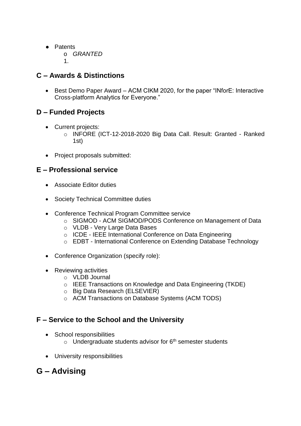- Patents
	- o *GRANTED*
	- 1.

#### **C – Awards & Distinctions**

• Best Demo Paper Award – ACM CIKM 2020, for the paper "INforE: Interactive Cross-platform Analytics for Everyone."

#### **D – Funded Projects**

- Current projects:
	- o INFORE (ICT-12-2018-2020 Big Data Call. Result: Granted Ranked 1st)
- Project proposals submitted:

#### **E – Professional service**

- Associate Editor duties
- Society Technical Committee duties
- Conference Technical Program Committee service
	- o SIGMOD ACM SIGMOD/PODS Conference on Management of Data
	- o VLDB Very Large Data Bases
	- o ICDE IEEE International Conference on Data Engineering
	- o EDBT International Conference on Extending Database Technology
- Conference Organization (specify role):
- Reviewing activities
	- o VLDB Journal
	- o IEEE Transactions on Knowledge and Data Engineering (TKDE)
	- o Big Data Research (ELSEVIER)
	- o ACM Transactions on Database Systems (ACM TODS)

#### **F – Service to the School and the University**

- School responsibilities
	- $\circ$  Undergraduate students advisor for 6<sup>th</sup> semester students
- University responsibilities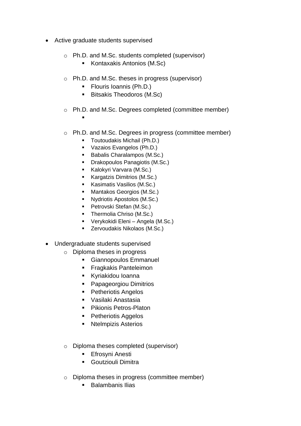- Active graduate students supervised
	- o Ph.D. and M.Sc. students completed (supervisor)
		- Kontaxakis Antonios (M.Sc)
	- o Ph.D. and M.Sc. theses in progress (supervisor)
		- Flouris Ioannis (Ph.D.)
		- Bitsakis Theodoros (M.Sc)
	- o Ph.D. and M.Sc. Degrees completed (committee member)
		- ▪
	- o Ph.D. and M.Sc. Degrees in progress (committee member)
		- Toutoudakis Michail (Ph.D.)
		- Vazaios Evangelos (Ph.D.)
		- Babalis Charalampos (M.Sc.)
		- Drakopoulos Panagiotis (M.Sc.)
		- Kalokyri Varvara (M.Sc.)
		- Kargatzis Dimitrios (M.Sc.)
		- Kasimatis Vasilios (M.Sc.)
		- Mantakos Georgios (M.Sc.)
		- Nydriotis Apostolos (M.Sc.)
		- Petrovski Stefan (M.Sc.)
		- **•** Thermolia Chriso (M.Sc.)
		- Verykokidi Eleni Angela (M.Sc.)
		- Zervoudakis Nikolaos (M.Sc.)
- Undergraduate students supervised
	- o Diploma theses in progress
		- **EXEC** Giannopoulos Emmanuel
		- Fragkakis Panteleimon
		- Kyriakidou Ioanna
		- Papageorgiou Dimitrios
		- Petheriotis Angelos
		- Vasilaki Anastasia
		- Pikionis Petros-Platon
		- Petheriotis Aggelos
		- Ntelmpizis Asterios
	- o Diploma theses completed (supervisor)
		- **Efrosyni Anesti**
		- Goutziouli Dimitra
	- o Diploma theses in progress (committee member)
		- Balambanis Ilias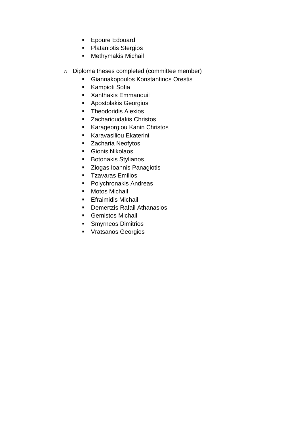- Epoure Edouard
- Plataniotis Stergios
- Methymakis Michail
- o Diploma theses completed (committee member)
	- Giannakopoulos Konstantinos Orestis
	- Kampioti Sofia
	- Xanthakis Emmanouil
	- Apostolakis Georgios
	- Theodoridis Alexios
	- Zacharioudakis Christos
	- Karageorgiou Kanin Christos
	- **EXALE** Karavasiliou Ekaterini
	- Zacharia Neofytos
	- Gionis Nikolaos
	- Botonakis Stylianos
	- Ziogas Ioannis Panagiotis
	- Tzavaras Emilios
	- Polychronakis Andreas
	- Motos Michail
	- **Efraimidis Michail**
	- Demertzis Rafail Athanasios
	- Gemistos Michail
	- Smyrneos Dimitrios
	- Vratsanos Georgios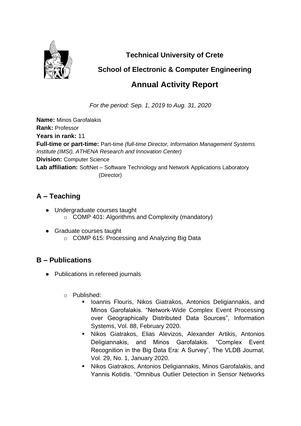

**Technical University of Crete**

## **School of Electronic & Computer Engineering**

## **Annual Activity Report**

*For the period: Sep. 1, 2019 to Aug. 31, 2020*

**Name:** Minos Garofalakis **Rank:** Professor **Years in rank:** 11 **Full-time or part-time:** Part-time *(full-time Director, Information Management Systems Institute (IMSI), ATHENA Research and Innovation Center)* **Division:** Computer Science **Lab affiliation:** SoftNet – Software Technology and Network Applications Laboratory (Director)

## **A – Teaching**

- Undergraduate courses taught o COMP 401: Algorithms and Complexity (mandatory)
- Graduate courses taught o COMP 615: Processing and Analyzing Big Data

- Publications in refereed journals
	- o Published:
		- **E.** Ioannis Flouris, Nikos Giatrakos, Antonios Deligiannakis, and Minos Garofalakis. "Network-Wide Complex Event Processing over Geographically Distributed Data Sources", Information Systems, Vol. 88, February 2020.
		- Nikos Giatrakos, Elias Alevizos, Alexander Artikis, Antonios Deligiannakis, and Minos Garofalakis. "Complex Event Recognition in the Big Data Era: A Survey", The VLDB Journal, Vol. 29, No. 1, January 2020.
		- Nikos Giatrakos, Antonios Deligiannakis, Minos Garofalakis, and Yannis Kotidis. "Omnibus Outlier Detection in Sensor Networks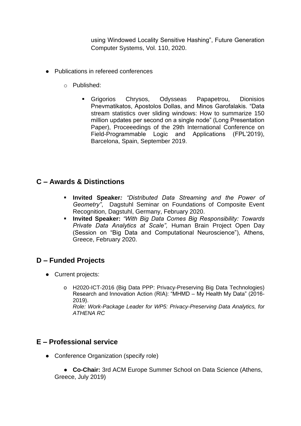using Windowed Locality Sensitive Hashing", Future Generation Computer Systems, Vol. 110, 2020.

- Publications in refereed conferences
	- o Published:
		- Grigorios Chrysos, Odysseas Papapetrou, Dionisios Pnevmatikatos, Apostolos Dollas, and Minos Garofalakis. "Data stream statistics over sliding windows: How to summarize 150 million updates per second on a single node" (Long Presentation Paper), Proceeedings of the 29th International Conference on Field-Programmable Logic and Applications (FPL'2019), Barcelona, Spain, September 2019.

#### **C – Awards & Distinctions**

- **Invited Speaker***: "Distributed Data Streaming and the Power of Geometry"*, Dagstuhl Seminar on Foundations of Composite Event Recognition, Dagstuhl, Germany, February 2020.
- **Invited Speaker:** *"With Big Data Comes Big Responsibility: Towards Private Data Analytics at Scale",* Human Brain Project Open Day (Session on "Big Data and Computational Neuroscience"), Athens, Greece, February 2020.

#### **D – Funded Projects**

- Current projects:
	- o H2020-ICT-2016 (Big Data PPP: Privacy-Preserving Big Data Technologies) Research and Innovation Action (RIA): "MHMD – My Health My Data" (2016- 2019). *Role: Work-Package Leader for WP5: Privacy-Preserving Data Analytics, for ATHENA RC*

#### **E – Professional service**

• Conference Organization (specify role)

● **Co-Chair:** 3rd ACM Europe Summer School on Data Science (Athens, Greece, July 2019)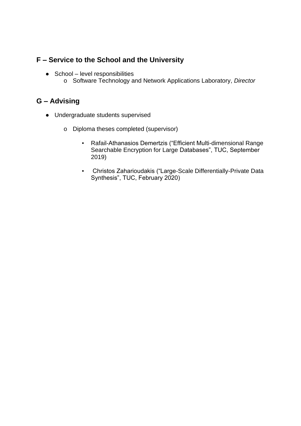## **F – Service to the School and the University**

- $\bullet$  School level responsibilities
	- o Software Technology and Network Applications Laboratory, *Director*

- Undergraduate students supervised
	- o Diploma theses completed (supervisor)
		- Rafail-Athanasios Demertzis ("Efficient Multi-dimensional Range Searchable Encryption for Large Databases", TUC, September 2019)
		- Christos Zaharioudakis ("Large-Scale Differentially-Private Data Synthesis", TUC, February 2020)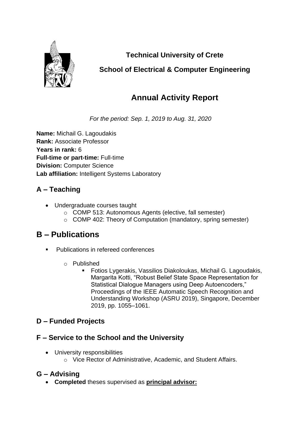

**Technical University of Crete**

## **School of Electrical & Computer Engineering**

## **Annual Activity Report**

*For the period: Sep. 1, 2019 to Aug. 31, 2020*

**Name:** Michail G. Lagoudakis **Rank:** Associate Professor **Years in rank:** 6 **Full-time or part-time:** Full-time **Division:** Computer Science **Lab affiliation:** Intelligent Systems Laboratory

## **A – Teaching**

- Undergraduate courses taught
	- o COMP 513: Autonomous Agents (elective, fall semester)
	- o COMP 402: Theory of Computation (mandatory, spring semester)

## **B – Publications**

- **Publications in refereed conferences** 
	- o Published
		- Fotios Lygerakis, Vassilios Diakoloukas, Michail G. Lagoudakis, Margarita Kotti, "Robust Belief State Space Representation for Statistical Dialogue Managers using Deep Autoencoders," Proceedings of the IEEE Automatic Speech Recognition and Understanding Workshop (ASRU 2019), Singapore, December 2019, pp. 1055–1061.

#### **D – Funded Projects**

#### **F – Service to the School and the University**

- University responsibilities
	- o Vice Rector of Administrative, Academic, and Student Affairs.

#### **G – Advising**

• **Completed** theses supervised as **principal advisor:**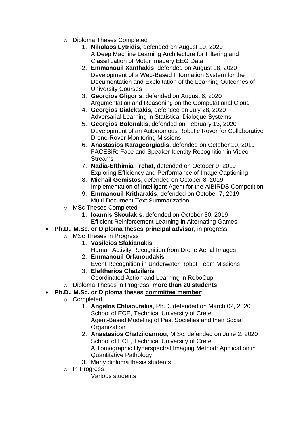- o Diploma Theses Completed
	- 1. **Nikolaos Lytridis**, defended on August 19, 2020 A Deep Machine Learning Architecture for Filtering and Classification of Motor Imagery EEG Data
	- 2. **Emmanouil Xanthakis**, defended on August 18, 2020 Development of a Web-Based Information System for the Documentation and Exploitation of the Learning Outcomes of University Courses
	- 3. **Georgios Gligoris**, defended on August 6, 2020 Argumentation and Reasoning on the Computational Cloud
	- 4. **Georgios Dialektakis**, defended on July 28, 2020 Adversarial Learning in Statistical Dialogue Systems
	- 5. **Georgios Bolonakis**, defended on February 13, 2020 Development of an Autonomous Robotic Rover for Collaborative Drone-Rover Monitoring Missions
	- 6. **Anastasios Karageorgiadis**, defended on October 10, 2019 FACESiR: Face and Speaker Identity Recognition in Video Streams
	- 7. **Nadia-Efthimia Frehat**, defended on October 9, 2019 Exploring Efficiency and Performance of Image Captioning
	- 8. **Michail Gemistos**, defended on October 8, 2019 Implementation of Intelligent Agent for the AIBIRDS Competition
	- 9. **Emmanouil Kritharakis**, defended on October 7, 2019 Multi-Document Text Summarization
- o MSc Theses Completed
	- 1. **Ioannis Skoulakis**, defended on October 30, 2019 Efficient Reinforcement Learning in Alternating Games
- **Ph.D., M.Sc. or Diploma theses principal advisor**, in progress:
	- o MSc Theses in Progress
		- 1. **Vasileios Sfakianakis**
		- Human Activity Recognition from Drone Aerial Images 2. **Emmanouil Orfanoudakis**
		- Event Recognition in Underwater Robot Team Missions 3. **Eleftherios Chatzilaris**
			- Coordinated Action and Learning in RoboCup
	- o Diploma Theses in Progress: **more than 20 students**
- **Ph.D., M.Sc. or Diploma theses committee member**:
	- o Completed
		- 1. **Angelos Chliaoutakis**, Ph.D. defended on March 02, 2020 School of ECE, Technical University of Crete Agent-Based Modeling of Past Societies and their Social **Organization**
		- 2. **Anastasios Chatziioannou**, M.Sc. defended on June 2, 2020 School of ECE, Technical University of Crete A Tomographic Hyperspectral Imaging Method: Application in Quantitative Pathology
		- 3. Many diploma thesis students
		- o In Progress

Various students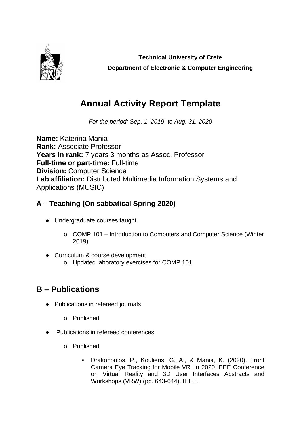

**Technical University of Crete Department of Electronic & Computer Engineering**

## **Annual Activity Report Template**

*For the period: Sep. 1, 2019 to Aug. 31, 2020*

**Name:** Katerina Mania **Rank:** Associate Professor **Years in rank:** 7 years 3 months as Assoc. Professor **Full-time or part-time:** Full-time **Division:** Computer Science **Lab affiliation:** Distributed Multimedia Information Systems and Applications (MUSIC)

## **A – Teaching (On sabbatical Spring 2020)**

- Undergraduate courses taught
	- o COMP 101 Introduction to Computers and Computer Science (Winter 2019)
- Curriculum & course development o Updated laboratory exercises for COMP 101

- Publications in refereed journals
	- o Published
- Publications in refereed conferences
	- o Published
		- Drakopoulos, P., Koulieris, G. A., & Mania, K. (2020). Front Camera Eye Tracking for Mobile VR. In 2020 IEEE Conference on Virtual Reality and 3D User Interfaces Abstracts and Workshops (VRW) (pp. 643-644). IEEE.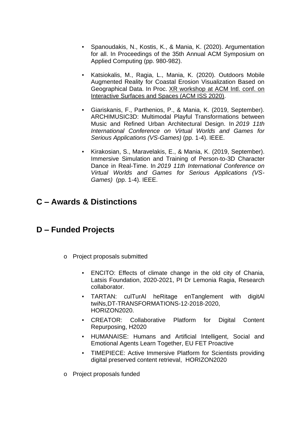- Spanoudakis, N., Kostis, K., & Mania, K. (2020). Argumentation for all. In Proceedings of the 35th Annual ACM Symposium on Applied Computing (pp. 980-982).
- Katsiokalis, M., Ragia, L., Mania, K. (2020). Outdoors Mobile Augmented Reality for Coastal Erosion Visualization Based on Geographical Data. In Proc. [XR workshop at ACM Intl. conf. on](https://dblp.org/db/conf/tabletop/xr2020.html#_blank)  [Interactive Surfaces and Spaces \(ACM ISS 2020\).](https://dblp.org/db/conf/tabletop/xr2020.html#_blank)
- Giariskanis, F., Parthenios, P., & Mania, K. (2019, September). ARCHIMUSIC3D: Multimodal Playful Transformations between Music and Refined Urban Architectural Design. In *2019 11th International Conference on Virtual Worlds and Games for Serious Applications (VS-Games)* (pp. 1-4). IEEE.
- Kirakosian, S., Maravelakis, E., & Mania, K. (2019, September). Immersive Simulation and Training of Person-to-3D Character Dance in Real-Time. In *2019 11th International Conference on Virtual Worlds and Games for Serious Applications (VS-Games)* (pp. 1-4). IEEE.

## **C – Awards & Distinctions**

## **D – Funded Projects**

- o Project proposals submitted
	- **ENCITO:** Effects of climate change in the old city of Chania, Latsis Foundation, 2020-2021, PI Dr Lemonia Ragia, Research collaborator.
	- TARTAN: culTurAl heRitage enTanglement with digitAl twiNs,DT-TRANSFORMATIONS-12-2018-2020, HORIZON2020.
	- CREATOR: Collaborative Platform for Digital Content Repurposing, H2020
	- HUMANAISE: Humans and Artificial Intelligent, Social and Emotional Agents Learn Together, EU FET Proactive
	- TIMEPIECE: Active Immersive Platform for Scientists providing digital preserved content retrieval, HORIZON2020
- o Project proposals funded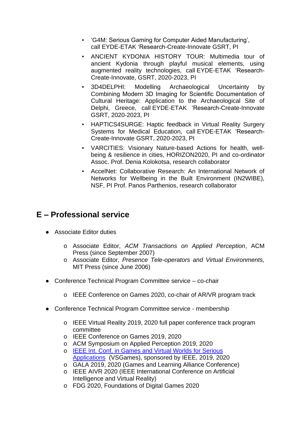- 'G4M: Serious Gaming for Computer Aided Manufacturing', call EYDE-ETAK 'Research-Create-Innovate GSRT, PI
- ANCIENT KYDONIA HISTORY TOUR: Multimedia tour of ancient Kydonia through playful musical elements, using augmented reality technologies, call EYDE-ETAK 'Research-Create-Innovate, GSRT, 2020-2023, PI
- 3D4DELPHI: Modelling Archaeological Uncertainty by Combining Μodern 3D Imaging for Scientific Documentation of Cultural Heritage: Application to the Archaeological Site of Delphi, Greece, call EYDE-ETAK 'Research-Create-Innovate GSRT, 2020-2023, PI
- **HAPTICS4SURGE: Haptic feedback in Virtual Reality Surgery** Systems for Medical Education, call EYDE-ETAK 'Research-Create-Innovate GSRT, 2020-2023, PI
- VARCITIES: Visionary Nature-based Actions for health, wellbeing & resilience in cities, HORIZON2020, PI and co-ordinator Assoc. Prof. Denia Kolokotsa, research collaborator
- AccelNet: Collaborative Research: An International Network of Networks for Wellbeing in the Built Environment (IN2WIBE), NSF, PI Prof. Panos Parthenios, research collaborator

## **E – Professional service**

- Associate Editor duties
	- o Associate Editor, *ACM Transactions on Applied Perception*, ACM Press (since September 2007)
	- o Associate Editor, *Presence Tele-operators and Virtual Environments,*  MIT Press (since June 2006)
- Conference Technical Program Committee service co-chair
	- o IEEE Conference on Games 2020, co-chair of AR/VR program track
- Conference Technical Program Committee service membership
	- o IEEE Virtual Reality 2019, 2020 full paper conference track program committee
	- o IEEE Conference on Games 2019, 2020
	- o ACM Symposium on Applied Perception 2019, 2020
	- o IEEE Int. Conf. in Games and Virtual Worlds for [Serious](http://vresources.org/node/1416#_blank) [Applications](http://vresources.org/node/1416#_blank) (VSGames), sponsored by IEEE, 2019, 2020
	- o GALA 2019, 2020 (Games and Learning Alliance Conference)
	- o IEEE AIVR 2020 (IEEE International Conference on Artificial Intelligence and Virtual Reality)
	- o FDG 2020, Foundations of Digital Games 2020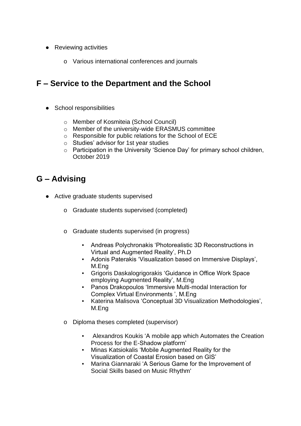- Reviewing activities
	- o Various international conferences and journals

## **F – Service to the Department and the School**

- School responsibilities
	- o Member of Kosmiteia (School Council)
	- o Member of the university-wide ERASMUS committee
	- o Responsible for public relations for the School of ECE
	- o Studies' advisor for 1st year studies
	- o Participation in the University 'Science Day' for primary school children, October 2019

- Active graduate students supervised
	- o Graduate students supervised (completed)
	- o Graduate students supervised (in progress)
		- Andreas Polychronakis 'Photorealistic 3D Reconstructions in Virtual and Augmented Reality', Ph.D
		- Adonis Paterakis 'Visualization based on Immersive Displays', M.Eng
		- Grigoris Daskalogrigorakis 'Guidance in Office Work Space employing Augmented Reality', M.Eng
		- Panos Drakopoulos 'Immersive Multi-modal Interaction for Complex Virtual Environments ', M.Eng
		- Katerina Malisova 'Conceptual 3D Visualization Methodologies', M.Eng
	- o Diploma theses completed (supervisor)
		- Alexandros Koukis 'A mobile app which Automates the Creation Process for the E-Shadow platform'
		- Minas Katsiokalis 'Mobile Augmented Reality for the Visualization of Coastal Erosion based on GIS'
		- Marina Giannaraki 'A Serious Game for the Improvement of Social Skills based on Music Rhythm'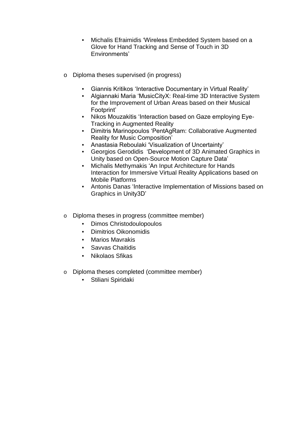- Michalis Efraimidis 'Wireless Embedded System based on a Glove for Hand Tracking and Sense of Touch in 3D Environments'
- o Diploma theses supervised (in progress)
	- Giannis Kritikos 'Interactive Documentary in Virtual Reality'
	- Algiannaki Maria 'MusicCityX: Real-time 3D Interactive System for the Improvement of Urban Areas based on their Musical Footprint'
	- Nikos Mouzakitis 'Interaction based on Gaze employing Eye-Tracking in Augmented Reality
	- Dimitris Marinopoulos 'PentAgRam: Collaborative Augmented Reality for Music Composition'
	- Anastasia Reboulaki 'Visualization of Uncertainty'
	- Georgios Gerodidis 'Development of 3D Animated Graphics in Unity based on Open-Source Motion Capture Data'
	- Michalis Methymakis 'An Input Architecture for Hands Interaction for Immersive Virtual Reality Applications based on Mobile Platforms
	- Antonis Danas 'Interactive Implementation of Missions based on Graphics in Unity3D'
- o Diploma theses in progress (committee member)
	- Dimos Christodoulopoulos
	- **Dimitrios Oikonomidis**
	- **Marios Mavrakis**
	- Savvas Chaitidis
	- Nikolaos Sfikas
- o Diploma theses completed (committee member)
	- Stiliani Spiridaki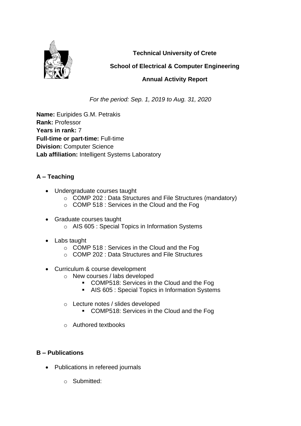

**Technical University of Crete**

#### **School of Electrical & Computer Engineering**

#### **Annual Activity Report**

*For the period: Sep. 1, 2019 to Aug. 31, 2020*

**Name:** Euripides G.M. Petrakis **Rank:** Professor **Years in rank:** 7 **Full-time or part-time:** Full-time **Division:** Computer Science **Lab affiliation:** Intelligent Systems Laboratory

#### **A – Teaching**

- Undergraduate courses taught
	- o COMP 202 : Data Structures and File Structures (mandatory)
	- o COMP 518 : Services in the Cloud and the Fog
- Graduate courses taught o AIS 605 : Special Topics in Information Systems
- Labs taught
	- o COMP 518 : Services in the Cloud and the Fog
	- o COMP 202 : Data Structures and File Structures
- Curriculum & course development
	- o New courses / labs developed
		- COMP518: Services in the Cloud and the Fog
		- AIS 605 : Special Topics in Information Systems
		- o Lecture notes / slides developed
			- COMP518: Services in the Cloud and the Fog
		- o Authored textbooks

- Publications in refereed journals
	- o Submitted: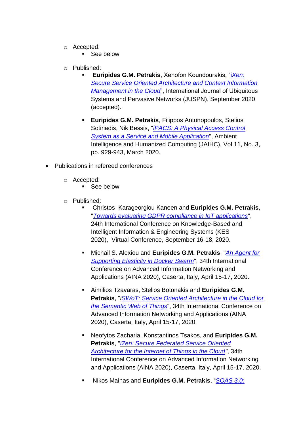- o Accepted:
	- See below
- o Published:
	- **Euripides G.M. Petrakis**, Xenofon Koundourakis, "i*[Xen:](http://www.intelligence.tuc.gr/~petrakis/publications/JUSPN2020.pdf)  [Secure Service Oriented Architecture and Context Information](http://www.intelligence.tuc.gr/~petrakis/publications/JUSPN2020.pdf)  [Management in the Cloud](http://www.intelligence.tuc.gr/~petrakis/publications/JUSPN2020.pdf)*", International Journal of Ubiquitous Systems and Pervasive Networks (JUSPN), September 2020 (accepted).
	- **Euripides G.M. Petrakis**, Filippos Antonopoulos, Stelios Sotiriadis, Nik Bessis, "*[iPACS: A Physical Access Control](http://www.intelligence.tuc.gr/~petrakis/publications/JAIHC2019.pdf)  [System as a Service and Mobile Application](http://www.intelligence.tuc.gr/~petrakis/publications/JAIHC2019.pdf)*", Ambient Intelligence and Humanized Computing (JAIHC), Vol 11, No. 3, pp. 929-943, March 2020.
- Publications in refereed conferences
	- o Accepted:
		- See below
	- o Published:
		- Christos Karageorgiou Kaneen and **Euripides G.M. Petrakis**, "*[Towards evaluating GDPR compliance in IoT applications](http://www.intelligence.tuc.gr/~petrakis/publications/KES2020.pdf)*", 24th International Conference on Knowledge-Based and Intelligent Information & Engineering Systems (KES 2020), Virtual Conference, September 16-18, 2020.
		- Michail S. Alexiou and **Euripides G.M. Petrakis**, "*[An Agent for](http://www.intelligence.tuc.gr/~petrakis/publications/Elixir.pdf)  [Supporting Elasticity in Docker Swarm](http://www.intelligence.tuc.gr/~petrakis/publications/Elixir.pdf)*", 34th International Conference on Advanced Information Networking and Applications (AINA 2020), Caserta, Italy, April 15-17, 2020.
		- Aimilios Tzavaras, Stelios Botonakis and **Euripides G.M. Petrakis**, "*[iSWoT: Service Oriented Architecture in the Cloud for](http://www.intelligence.tuc.gr/~petrakis/publications/iSWoT.pdf)  [the Semantic Web of Things](http://www.intelligence.tuc.gr/~petrakis/publications/iSWoT.pdf)*", 34th International Conference on Advanced Information Networking and Applications (AINA 2020), Caserta, Italy, April 15-17, 2020.
		- Neofytos Zacharia, Konstantinos Tsakos, and **Euripides G.M. Petrakis**, "*[iZen: Secure Federated Service Oriented](http://www.intelligence.tuc.gr/~petrakis/publications/iZen.pdf)  [Architecture for the Internet of Things in the Cloud"](http://www.intelligence.tuc.gr/~petrakis/publications/iZen.pdf)*, 34th International Conference on Advanced Information Networking and Applications (AINA 2020), Caserta, Italy, April 15-17, 2020.
		- Nikos Mainas and **Euripides G.M. Petrakis**, "*[SOAS 3.0:](http://www.intelligence.tuc.gr/~petrakis/publications/ICSC2020.pdf)*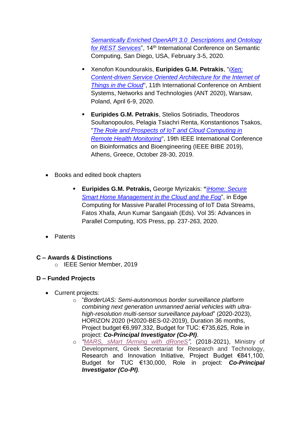*[Semantically Enriched OpenAPI 3.0 Descriptions and Ontology](http://www.intelligence.tuc.gr/~petrakis/publications/ICSC2020.pdf)  [for REST Services](http://www.intelligence.tuc.gr/~petrakis/publications/ICSC2020.pdf)*", 14th International Conference on Semantic Computing, San Diego, USA, February 3-5, 2020.

- Xenofon Koundourakis, **Euripides G.M. Petrakis**, "*[iXen:](http://www.intelligence.tuc.gr/~petrakis/publications/iXen.pdf)  [Content-driven Service Oriented Architecture for the Internet of](http://www.intelligence.tuc.gr/~petrakis/publications/iXen.pdf)  [Things in the Cloud](http://www.intelligence.tuc.gr/~petrakis/publications/iXen.pdf)*", 11th International Conference on Ambient Systems, Networks and Technologies (ANT 2020), Warsaw, Poland, April 6-9, 2020.
- **Euripides G.M. Petrakis**, Stelios Sotiriadis, Theodoros Soultanopoulos, Pelagia Tsiachri Renta, Konstantionos Tsakos, "*[The Role and Prospects of IoT and Cloud Computing in](http://www.intelligence.tuc.gr/~petrakis/publications/Bibe2019.pdf)  [Remote Health Monitoring](http://www.intelligence.tuc.gr/~petrakis/publications/Bibe2019.pdf)*", 19th IEEE International Conference on Bioinformatics and Bioengineering (IEEE BIBE 2019), Athens, Greece, October 28-30, 2019.
- Books and edited book chapters
	- **Euripides G.M. Petrakis,** George Myrizakis: **"***[iHome: Secure](http://www.intelligence.tuc.gr/~petrakis/publications/iHome-IOS.pdf)  [Smart Home Management in the Cloud and the Fog](http://www.intelligence.tuc.gr/~petrakis/publications/iHome-IOS.pdf)*", in Edge Computing for Massive Parallel Processing of IoT Data Streams, Fatos Xhafa, Arun Kumar Sangaiah (Eds). Vol 35: Advances in Parallel Computing, IOS Press, pp. 237-263, 2020.
- Patents

#### **C – Awards & Distinctions**

o IEEE Senior Member, 2019

#### **D – Funded Projects**

- Current projects:
	- o "*BorderUAS: Semi-autonomous border surveillance platform combining next generation unmanned aerial vehicles with ultrahigh-resolution multi-sensor surveillance payload*" (2020-2023), HORIZON 2020 (H2020-BES-02-2019), Duration 36 months, Project budget €6,997,332, Budget for TUC: €735,625, Role in project: *Co-Principal Investigator (Co-PI)*.
	- o *["MARS, sMart fArming with dRoneS"](https://project-mars.eu/),* (2018-2021), Ministry of Development, Greek Secretariat for Research and Technology, Research and Innovation Initiative, Project Budget €841,100, Budget for TUC €130,000, Role in project: *Co-Principal Investigator (Co-PI).*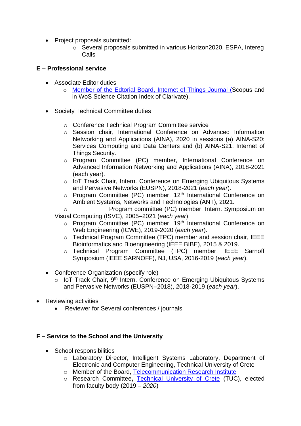- Project proposals submitted:
	- o Several proposals submitted in various Horizon2020, ESPA, Intereg Calls

#### **E – Professional service**

- Associate Editor duties
	- o Member of the Edtorial Board, [Internet of Things Journal](https://www.sciencedirect.com/journal/internet-of-things) (Scopus and in WoS Science Citation Index of Clarivate).
- Society Technical Committee duties
	- o Conference Technical Program Committee service
	- o Session chair, International Conference on Advanced Information Networking and Applications (AINA), 2020 in sessions (a) AINA-S20: Services Computing and Data Centers and (b) AINA-S21: Internet of Things Security.
	- o Program Committee (PC) member, International Conference on Advanced Information Networking and Applications (AINA), 2018-2021 (each year).
	- o IoT Track Chair, Intern. Conference on Emerging Ubiquitous Systems and Pervasive Networks (EUSPN), 2018-2021 (*each year*).
	- $\circ$  Program Committee (PC) member, 12<sup>th</sup> International Conference on Ambient Systems, Networks and Technologies (ANT), 2021.
	- o Program committee (PC) member, Intern. Symposium on Visual Computing (ISVC), 2005–2021 (*each year*).
		- o Program Committee (PC) member, 19<sup>th</sup> International Conference on Web Engineering (ICWE), 2019-2020 (*each year*).
		- o Technical Program Committee (TPC) member and session chair, IEEE Bioinformatics and Bioengineering (IEEE BIBE), 2015 & 2019.
		- o Technical Program Committee (TPC) member, IEEE Sarnoff Symposium (IEEE SARNOFF), NJ, USA, 2016-2019 (*each year*).
- Conference Organization (specify role)
	- o IoT Track Chair, 9<sup>th</sup> Intern. Conference on Emerging Ubiquitous Systems and Pervasive Networks (EUSPN–2018), 2018-2019 (*each year*).
- Reviewing activities
	- Reviewer for Several conferences / journals

#### **F – Service to the School and the University**

- School responsibilities
	- o Laboratory Director, Intelligent Systems Laboratory, Department of Electronic and Computer Engineering, Technical University of Crete
	- o Member of the Board, [Telecommunication Research Institute](http://www.tsi.gr/?lang=en)
	- o Research Committee**,** [Technical University of Crete](https://www.tuc.gr/index.php?id=385) (TUC), elected from faculty body (2019 – *2020*)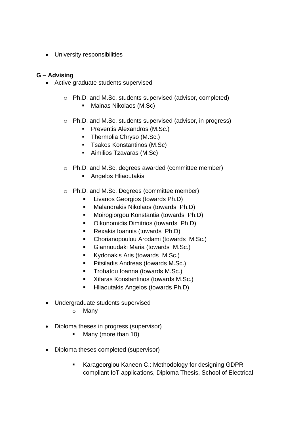• University responsibilities

- Active graduate students supervised
	- o Ph.D. and M.Sc. students supervised (advisor, completed)
		- Mainas Nikolaos (M.Sc)
	- o Ph.D. and M.Sc. students supervised (advisor, in progress)
		- **•** Preventis Alexandros (M.Sc.)
		- Thermolia Chryso (M.Sc.)
		- Tsakos Konstantinos (M.Sc)
		- Aimilios Tzavaras (M.Sc)
	- o Ph.D. and M.Sc. degrees awarded (committee member)
		- Angelos Hliaoutakis
	- o Ph.D. and M.Sc. Degrees (committee member)
		- Livanos Georgios (towards Ph.D)
		- Malandrakis Nikolaos (towards Ph.D)
		- Moirogiorgou Konstantia (towards Ph.D)
		- Oikonomidis Dimitrios (towards Ph.D)
		- Rexakis Ioannis (towards Ph.D)
		- Chorianopoulou Arodami (towards M.Sc.)
		- Giannoudaki Maria (towards M.Sc.)
		- Kydonakis Aris (towards M.Sc.)
		- Pitsiladis Andreas (towards M.Sc.)
		- **•** Trohatou Ioanna (towards M.Sc.)
		- Xifaras Konstantinos (towards M.Sc.)
		- **E** Hliaoutakis Angelos (towards Ph.D)
- Undergraduate students supervised
	- o Many
- Diploma theses in progress (supervisor)
	- Many (more than 10)
- Diploma theses completed (supervisor)
	- Karageorgiou Kaneen C.: Methodology for designing GDPR compliant IoT applications, Diploma Thesis, School of Electrical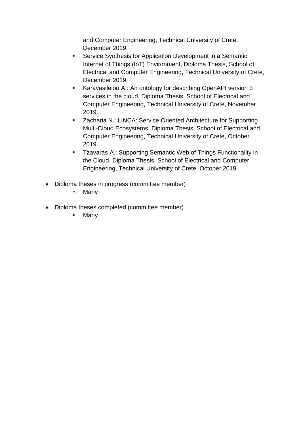and Computer Engineering, Technical University of Crete, December 2019.

- Service Synthesis for Application Development in a Semantic Internet of Things (IoT) Environment, Diploma Thesis, School of Electrical and Computer Engineering, Technical University of Crete, December 2019.
- Karavasileiou A.: An ontology for describing OpenAPI version 3 services in the cloud, Diploma Thesis, School of Electrical and Computer Engineering, Technical University of Crete, November 2019.
- Zacharia N.: LINCA: Service Oriented Architecture for Supporting Multi-Cloud Ecosystems, Diploma Thesis, School of Electrical and Computer Engineering, Technical University of Crete, October 2019.
- Tzavaras A.: Supporting Semantic Web of Things Functionality in the Cloud, Diploma Thesis, School of Electrical and Computer Engineering, Technical University of Crete, October 2019.
- Diploma theses in progress (committee member)
	- o Many
- Diploma theses completed (committee member)
	- Many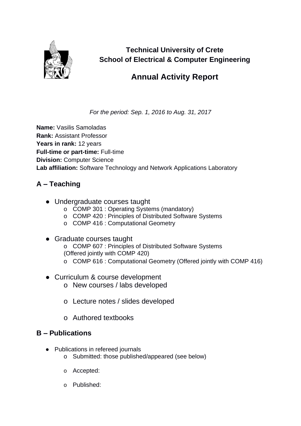

**Technical University of Crete School of Electrical & Computer Engineering**

## **Annual Activity Report**

*For the period: Sep. 1, 2016 to Aug. 31, 2017*

**Name:** Vasilis Samoladas **Rank:** Assistant Professor Years in rank: 12 years **Full-time or part-time:** Full-time **Division:** Computer Science **Lab affiliation:** Software Technology and Network Applications Laboratory

#### **A – Teaching**

- Undergraduate courses taught
	- o COMP 301 : Operating Systems (mandatory)
	- o COMP 420 : Principles of Distributed Software Systems
	- o COMP 416 : Computational Geometry
- Graduate courses taught o COMP 607 : Principles of Distributed Software Systems (Offered jointly with COMP 420)
	- o COMP 616 : Computational Geometry (Offered jointly with COMP 416)
- Curriculum & course development
	- o New courses / labs developed
	- o Lecture notes / slides developed
	- o Authored textbooks

- Publications in refereed journals
	- o Submitted: those published/appeared (see below)
	- o Accepted:
	- o Published: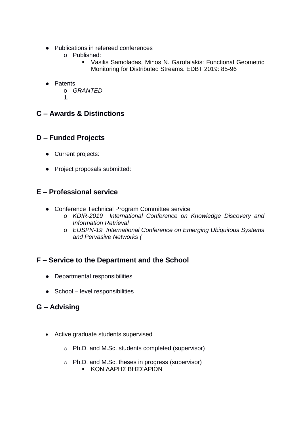- Publications in refereed conferences
	- o Published:
		- Vasilis Samoladas, Minos N. Garofalakis: Functional Geometric Monitoring for Distributed Streams. EDBT 2019: 85-96
- Patents
	- o *GRANTED*
	- 1.

#### **C – Awards & Distinctions**

#### **D – Funded Projects**

- Current projects:
- Project proposals submitted:

#### **E – Professional service**

- Conference Technical Program Committee service
	- o *KDIR-2019 International Conference on Knowledge Discovery and Information Retrieval*
	- o *EUSPN-19 International Conference on Emerging Ubiquitous Systems and Pervasive Networks (*

#### **F – Service to the Department and the School**

- Departmental responsibilities
- School level responsibilities

- Active graduate students supervised
	- o Ph.D. and M.Sc. students completed (supervisor)
	- o Ph.D. and M.Sc. theses in progress (supervisor)
		- ΚΟΝΙΔΑΡΗΣ ΒΗΣΣΑΡΙΩΝ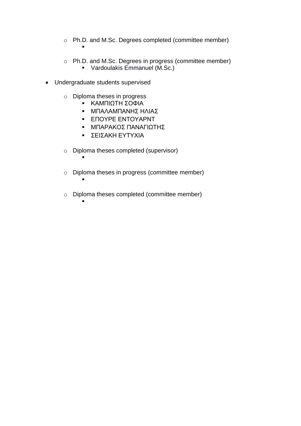- o Ph.D. and M.Sc. Degrees completed (committee member) ▪
- o Ph.D. and M.Sc. Degrees in progress (committee member) ▪ Vardoulakis Emmanuel (M.Sc.)
- Undergraduate students supervised

▪

▪

▪

- o Diploma theses in progress
	- ΚΑΜΠΙΩΤΗ ΣΟΦΙΑ
	- ΜΠΑΛΑΜΠΑΝΗΣ ΗΛΙΑΣ
	- ΕΠΟΥΡΕ ΕΝΤΟΥΑΡΝΤ
	- ΜΠΑΡΑΚΟΣ ΠΑΝΑΓΙΩΤΗΣ
	- ΣΕΙΣΑΚΗ ΕΥΤΥΧΙΑ
- o Diploma theses completed (supervisor)
- o Diploma theses in progress (committee member)
- o Diploma theses completed (committee member)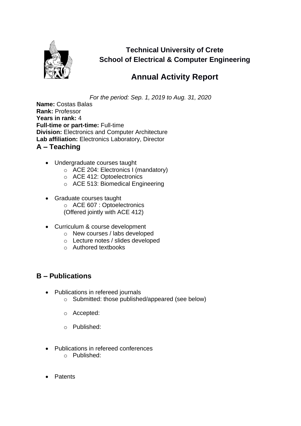

**Technical University of Crete School of Electrical & Computer Engineering**

## **Annual Activity Report**

*For the period: Sep. 1, 2019 to Aug. 31, 2020*

**Name:** Costas Balas **Rank:** Professor **Years in rank:** 4 **Full-time or part-time:** Full-time **Division:** Electronics and Computer Architecture **Lab affiliation:** Electronics Laboratory, Director **A – Teaching**

- Undergraduate courses taught
	- o ACE 204: Electronics I (mandatory)
	- o ACE 412: Optoelectronics
	- o ACE 513: Biomedical Engineering
- Graduate courses taught o ACE 607 : Optoelectronics (Offered jointly with ACE 412)
- Curriculum & course development
	- o New courses / labs developed
	- o Lecture notes / slides developed
	- o Authored textbooks

- Publications in refereed journals
	- o Submitted: those published/appeared (see below)
	- o Accepted:
	- o Published:
- Publications in refereed conferences
	- o Published:
- Patents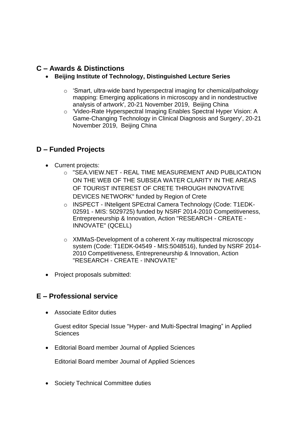#### **C – Awards & Distinctions**

- **Beijing Institute of Technology, Distinguished Lecture Series**
	- o 'Smart, ultra-wide band hyperspectral imaging for chemical/pathology mapping: Emerging applications in microscopy and in nondestructive analysis of artwork', 20-21 November 2019, Beijing China
	- o 'Video-Rate Hyperspectral Imaging Enables Spectral Hyper Vision: A Game-Changing Technology in Clinical Diagnosis and Surgery', 20-21 November 2019, Beijing China

#### **D – Funded Projects**

- Current projects:
	- o "SEA.VIEW.NET REAL TIME MEASUREMENT AND PUBLICATION ON THE WEB OF THE SUBSEA WATER CLARITY IN THE AREAS OF TOURIST INTEREST OF CRETE THROUGH INNOVATIVE DEVICES NETWORK" funded by Region of Crete
	- o INSPECT INteligent SPEctral Camera Technology (Code: T1EDK-02591 - MIS: 5029725) funded by NSRF 2014-2010 Competitiveness, Entrepreneurship & Innovation, Action "RESEARCH - CREATE - INNOVATE" (QCELL)
	- o XMMaS-Development of a coherent X-ray multispectral microscopy system (Code: T1EDK-04549 - MIS:5048516), funded by NSRF 2014- 2010 Competitiveness, Entrepreneurship & Innovation, Action "RESEARCH - CREATE - INNOVATE"
- Project proposals submitted:

#### **E – Professional service**

• Associate Editor duties

Guest editor Special Issue "Hyper- and Multi-Spectral Imaging" in Applied **Sciences** 

• Editorial Board member Journal of Applied Sciences

Editorial Board member Journal of Applied Sciences

• Society Technical Committee duties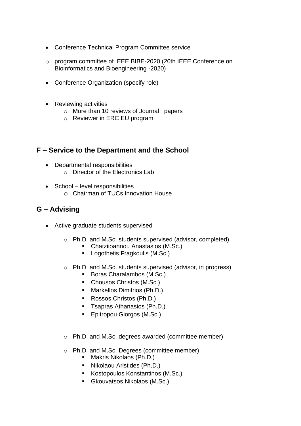- Conference Technical Program Committee service
- o program committee of IEEE BIBE-2020 (20th IEEE Conference on Bioinformatics and Bioengineering -2020)
- Conference Organization (specify role)
- Reviewing activities
	- o More than 10 reviews of Journal papers
	- o Reviewer in ERC EU program

#### **F – Service to the Department and the School**

- Departmental responsibilities
	- o Director of the Electronics Lab
- School level responsibilities o Chairman of TUCs Innovation House

- Active graduate students supervised
	- o Ph.D. and M.Sc. students supervised (advisor, completed)
		- Chatziioannou Anastasios (M.Sc.)
		- Logothetis Fragkoulis (M.Sc.)
	- o Ph.D. and M.Sc. students supervised (advisor, in progress)
		- Boras Charalambos (M.Sc.)
		- Chousos Christos (M.Sc.)
		- Markellos Dimitrios (Ph.D.)
		- Rossos Christos (Ph.D.)
		- Tsapras Athanasios (Ph.D.)
		- Epitropou Giorgos (M.Sc.)
	- o Ph.D. and M.Sc. degrees awarded (committee member)
	- o Ph.D. and M.Sc. Degrees (committee member)
		- Makris Nikolaos (Ph.D.)
		- Nikolaou Aristides (Ph.D.)
		- Kostopoulos Konstantinos (M.Sc.)
		- Gkouvatsos Nikolaos (M.Sc.)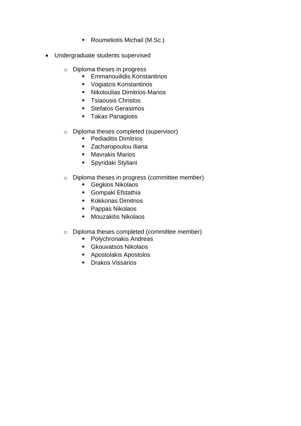- Roumeliotis Michail (M.Sc.)
- Undergraduate students supervised
	- o Diploma theses in progress
		- Emmanouilidis Konstantinos
		- Vogiatzis Konstantinos
		- Nikoloulias Dimitrios-Marios
		- Tsiaousis Christos
		- Stefatos Gerasimos
		- Takas Panagiotis
	- o Diploma theses completed (supervisor)
		- Pediaditis Dimitrios
		- Zacharopoulou Iliana
		- Mavrakis Marios
		- Spyridaki Styliani
	- o Diploma theses in progress (committee member)
		- Gegkios Nikolaos
		- Gompaki Efstathia
		- Kokkonas Dimitrios
		- Pappas Nikolaos
		- Mouzakitis Nikolaos
	- o Diploma theses completed (committee member)
		- Polychronakis Andreas
		- Gkouvatsos Nikolaos
		- Apostolakis Apostolos
		- Drakos Vissarios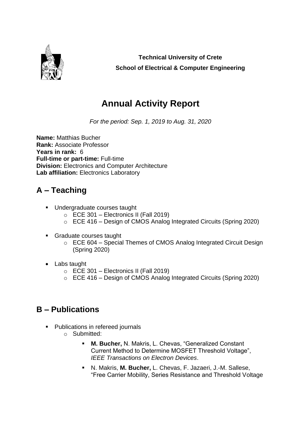

**Technical University of Crete School of Electrical & Computer Engineering**

## **Annual Activity Report**

*For the period: Sep. 1, 2019 to Aug. 31, 2020*

**Name:** Matthias Bucher **Rank:** Associate Professor **Years in rank:** 6 **Full-time or part-time:** Full-time **Division:** Electronics and Computer Architecture Lab affiliation: Electronics Laboratory

## **A – Teaching**

- Undergraduate courses taught
	- $\circ$  ECE 301 Electronics II (Fall 2019)
	- o ECE 416 Design of CMOS Analog Integrated Circuits (Spring 2020)
- Graduate courses taught
	- o ECE 604 Special Themes of CMOS Analog Integrated Circuit Design (Spring 2020)
- Labs taught
	- $\circ$  ECE 301 Electronics II (Fall 2019)
	- o ECE 416 Design of CMOS Analog Integrated Circuits (Spring 2020)

- Publications in refereed journals
	- o Submitted:
		- **M. Bucher,** N. Makris, L. Chevas, "Generalized Constant Current Method to Determine MOSFET Threshold Voltage", *IEEE Transactions on Electron Devices*.
		- N. Makris, **M. Bucher,** L. Chevas, F. Jazaeri, J.-M. Sallese, "Free Carrier Mobility, Series Resistance and Threshold Voltage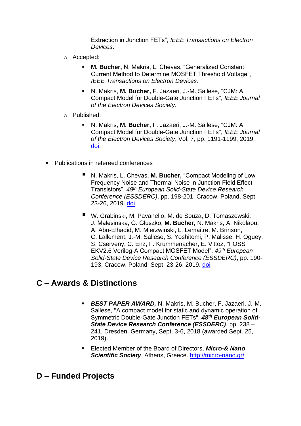Extraction in Junction FETs", *IEEE Transactions on Electron Devices*.

- o Accepted:
	- **M. Bucher, N. Makris, L. Chevas, "Generalized Constant** Current Method to Determine MOSFET Threshold Voltage", *IEEE Transactions on Electron Devices*.
	- N. Makris, **M. Bucher,** F. Jazaeri, J.-M. Sallese, "CJM: A Compact Model for Double-Gate Junction FETs", *IEEE Journal of the Electron Devices Society.*
- o Published:
	- N. Makris, **M. Bucher,** F. Jazaeri, J.-M. Sallese, "CJM: A Compact Model for Double-Gate Junction FETs", *IEEE Journal of the Electron Devices Society*, Vol. 7, pp. 1191-1199, 2019. [doi.](http://dx.doi.org/10.1109/JEDS.2019.2944817)
- **Publications in refereed conferences** 
	- N. Makris, L. Chevas, M. Bucher, "Compact Modeling of Low Frequency Noise and Thermal Noise in Junction Field Effect Transistors", *49th European Solid-State Device Research Conference (ESSDERC)*, pp. 198-201, Cracow, Poland, Sept. 23-26, 2019. [doi](https://doi.org/10.1109/ESSDERC.2019.8901775)
	- W. Grabinski, M. Pavanello, M. de Souza, D. Tomaszewski, J. Malesinska, G. Głuszko, **M. Bucher,** N. Makris, A. Nikolaou, A. Abo-Elhadid, M. Mierzwinski, L. Lemaitre, M. Brinson, C. Lallement, J.-M. Sallese, S. Yoshitomi, P. Malisse, H. Oguey, S. Cserveny, C. Enz, F. Krummenacher, E. Vittoz, "FOSS EKV2.6 Verilog-A Compact MOSFET Model", *49th European Solid-State Device Research Conference (ESSDERC)*, pp. 190- 193, Cracow, Poland, Sept. 23-26, 2019. [doi](https://dx.doi.org/10.1109/ESSDERC.2019.8901822)

# **C – Awards & Distinctions**

- *BEST PAPER AWARD,* N. Makris, M. Bucher, F. Jazaeri, J.-M. Sallese, "A compact model for static and dynamic operation of Symmetric Double-Gate Junction FETs", *48th European Solid-State Device Research Conference (ESSDERC)*, pp. 238 – 241, Dresden, Germany, Sept. 3-6, 2018 (awarded Sept. 25, 2019).
- Elected Member of the Board of Directors, *Micro-& Nano Scientific Society*, Athens, Greece.<http://micro-nano.gr/>

## **D – Funded Projects**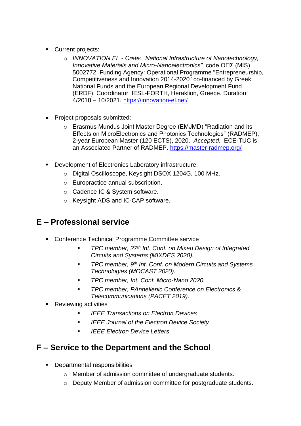- Current projects:
	- o *INNOVATION EL - Crete: "National Infrastructure of Nanotechnology, Innovative Materials and Micro-Nanoelectronics",* code ΟΠΣ (MIS) 5002772. Funding Agency: Operational Programme "Entrepreneurship, Competitiveness and Innovation 2014-2020" co-financed by Greek National Funds and the European Regional Development Fund (ERDF). Coordinator: IESL-FORTH, Heraklion, Greece. Duration: 4/2018 – 10/2021.<https://innovation-el.net/>
- Project proposals submitted:
	- o Erasmus Mundus Joint Master Degree (EMJMD) "Radiation and its Effects on MicroElectronics and Photonics Technologies" (RADMEP), 2-year European Master (120 ECTS), 2020. *Accepted.* ECE-TUC is an Associated Partner of RADMEP.<https://master-radmep.org/>
- Development of Electronics Laboratory infrastructure:
	- o Digital Oscilloscope, Keysight DSOX 1204G, 100 MHz.
	- o Europractice annual subscription.
	- o Cadence IC & System software.
	- o Keysight ADS and IC-CAP software.

# **E – Professional service**

- Conference Technical Programme Committee service
	- *TPC member, 27<sup>th</sup> Int. Conf. on Mixed Design of Integrated Circuits and Systems (MIXDES 2020).*
	- *TPC member, 9th Int. Conf. on Modern Circuits and Systems Technologies (MOCAST 2020).*
	- *TPC member, Int. Conf. Micro-Nano 2020.*
	- *TPC member, PAnhellenic Conference on Electronics & Telecommunications (PACET 2019).*
- Reviewing activities
	- *IEEE Transactions on Electron Devices*
	- *IEEE Journal of the Electron Device Society*
	- *IEEE Electron Device Letters*

## **F – Service to the Department and the School**

- Departmental responsibilities
	- o Member of admission committee of undergraduate students.
	- o Deputy Member of admission committee for postgraduate students.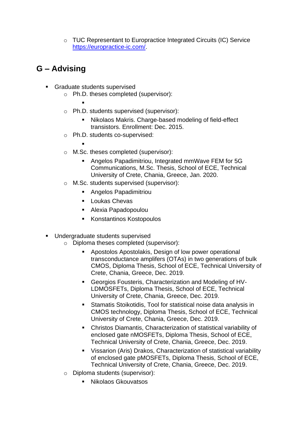o TUC Representant to Europractice Integrated Circuits (IC) Service [https://europractice-ic.com/.](https://europractice-ic.com/)

- Graduate students supervised
	- o Ph.D. theses completed (supervisor):
		- ▪
	- o Ph.D. students supervised (supervisor):
		- Nikolaos Makris. Charge-based modeling of field-effect transistors. Enrollment: Dec. 2015.
	- o Ph.D. students co-supervised:
		- ▪
	- o M.Sc. theses completed (supervisor):
		- Angelos Papadimitriou, Integrated mmWave FEM for 5G Communications, M.Sc. Thesis, School of ECE, Technical University of Crete, Chania, Greece, Jan. 2020.
	- o M.Sc. students supervised (supervisor):
		- Angelos Papadimitriou
		- Loukas Chevas
		- Alexia Papadopoulou
		- Konstantinos Kostopoulos
- Undergraduate students supervised
	- o Diploma theses completed (supervisor):
		- Apostolos Apostolakis, Design of low power operational transconductance amplifers (OTAs) in two generations of bulk CMOS, Diploma Thesis, School of ECE, Technical University of Crete, Chania, Greece, Dec. 2019.
		- Georgios Fousteris, Characterization and Modeling of HV-LDMOSFETs, Diploma Thesis, School of ECE, Technical University of Crete, Chania, Greece, Dec. 2019.
		- Stamatis Stoikotidis, Tool for statistical noise data analysis in CMOS technology, Diploma Thesis, School of ECE, Technical University of Crete, Chania, Greece, Dec. 2019.
		- Christos Diamantis, Characterization of statistical variability of enclosed gate nMOSFETs, Diploma Thesis, School of ECE, Technical University of Crete, Chania, Greece, Dec. 2019.
		- Vissarion (Aris) Drakos, Characterization of statistical variability of enclosed gate pMOSFETs, Diploma Thesis, School of ECE, Technical University of Crete, Chania, Greece, Dec. 2019.
	- o Diploma students (supervisor):
		- Nikolaos Gkouvatsos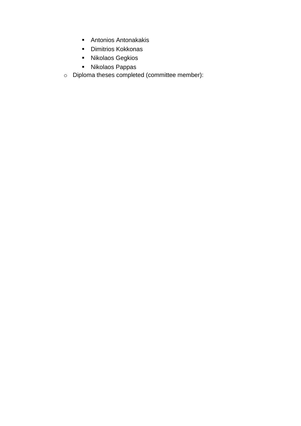- Antonios Antonakakis
- Dimitrios Kokkonas
- Nikolaos Gegkios
- Nikolaos Pappas
- o Diploma theses completed (committee member):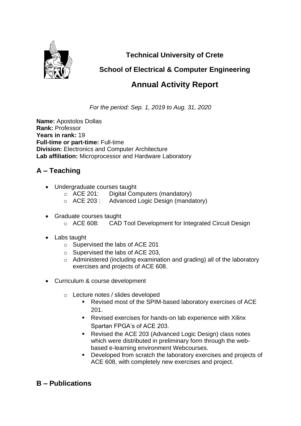

**Technical University of Crete**

## **School of Electrical & Computer Engineering**

# **Annual Activity Report**

*For the period: Sep. 1, 2019 to Aug. 31, 2020*

**Name:** Apostolos Dollas **Rank:** Professor **Years in rank:** 19 **Full-time or part-time:** Full-time **Division:** Electronics and Computer Architecture **Lab affiliation:** Microprocessor and Hardware Laboratory

## **A – Teaching**

- Undergraduate courses taught
	- o ACE 201: Digital Computers (mandatory)
	- o ACE 203 : Advanced Logic Design (mandatory)
- Graduate courses taught o ACE 608: CAD Tool Development for Integrated Circuit Design
- Labs taught
	- o Supervised the labs of ACE 201
	- o Supervised the labs of ACE 203,
	- o Administered (including examination and grading) all of the laboratory exercises and projects of ACE 608.
- Curriculum & course development
	- o Lecture notes / slides developed
		- Revised most of the SPIM-based laboratory exercises of ACE 201.
		- Revised exercises for hands-on lab experience with Xilinx Spartan FPGA's of ACE 203.
		- Revised the ACE 203 (Advanced Logic Design) class notes which were distributed in preliminary form through the webbased e-learning environment Webcourses.
		- Developed from scratch the laboratory exercises and projects of ACE 608, with completely new exercises and project.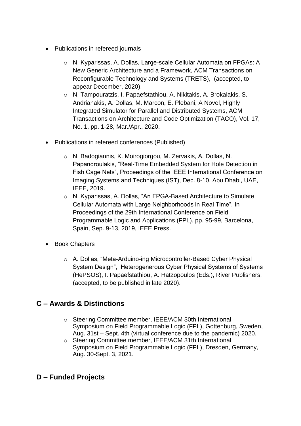- Publications in refereed journals
	- o N. Kyparissas, A. Dollas, Large-scale Cellular Automata on FPGAs: A New Generic Architecture and a Framework, ACM Transactions on Reconfigurable Technology and Systems (TRETS), (accepted, to appear December, 2020).
	- o N. Tampouratzis, I. Papaefstathiou, A. Nikitakis, A. Brokalakis, S. Andrianakis, A. Dollas, M. Marcon, E. Plebani, A Novel, Highly Integrated Simulator for Parallel and Distributed Systems, ACM Transactions on Architecture and Code Optimization (TACO), Vol. 17, No. 1, pp. 1-28, Mar./Apr., 2020.
- Publications in refereed conferences (Published)
	- o N. Badogiannis, K. Moirogiorgou, M. Zervakis, A. Dollas, N. Papandroulakis, "Real-Time Embedded System for Hole Detection in Fish Cage Nets", Proceedings of the IEEE International Conference on Imaging Systems and Techniques (IST), Dec. 8-10, Abu Dhabi, UAE, IEEE, 2019.
	- o N. Kyparissas, A. Dollas, "An FPGA-Based Architecture to Simulate Cellular Automata with Large Neighborhoods in Real Time", In Proceedings of the 29th International Conference on Field Programmable Logic and Applications (FPL), pp. 95-99, Barcelona, Spain, Sep. 9-13, 2019, IEEE Press.
- Book Chapters
	- o A. Dollas, "Meta-Arduino-ing Microcontroller-Based Cyber Physical System Design", Heterogenerous Cyber Physical Systems of Systems (HePSOS), I. Papaefstathiou, A. Hatzopoulos (Eds.), River Publishers, (accepted, to be published in late 2020).

### **C – Awards & Distinctions**

- o Steering Committee member, IEEE/ACM 30th International Symposium on Field Programmable Logic (FPL), Gottenburg, Sweden, Aug. 31st – Sept. 4th (virtual conference due to the pandemic) 2020.
- o Steering Committee member, IEEE/ACM 31th International Symposium on Field Programmable Logic (FPL), Dresden, Germany, Aug. 30-Sept. 3, 2021.

#### **D – Funded Projects**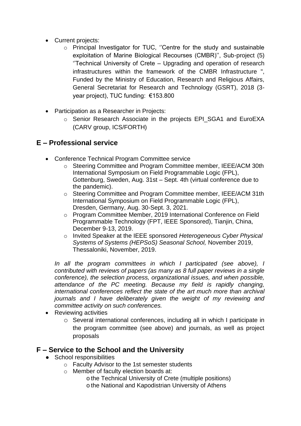- Current projects:
	- o Principal Investigator for TUC, ''Centre for the study and sustainable exploitation of Marine Biological Recourses (CMBR)'', Sub-project (5) ''Technical University of Crete – Upgrading and operation of research infrastructures within the framework of the CMBR Infrastructure ", Funded by the Ministry of Education, Research and Religious Affairs, General Secretariat for Research and Technology (GSRT), 2018 (3 year project), TUC funding: €153.800
- Participation as a Researcher in Projects:
	- o Senior Research Associate in the projects EPI\_SGA1 and EuroEXA (CARV group, ICS/FORTH)

#### **E – Professional service**

- Conference Technical Program Committee service
	- o Steering Committee and Program Committee member, IEEE/ACM 30th International Symposium on Field Programmable Logic (FPL), Gottenburg, Sweden, Aug. 31st – Sept. 4th (virtual conference due to the pandemic).
	- o Steering Committee and Program Committee member, IEEE/ACM 31th International Symposium on Field Programmable Logic (FPL), Dresden, Germany, Aug. 30-Sept. 3, 2021.
	- o Program Committee Member, 2019 International Conference on Field Programmable Technology (FPT, IEEE Sponsored), Tianjin, China, December 9-13, 2019.
	- o Invited Speaker at the IEEE sponsored *Heterogeneous Cyber Physical Systems of Systems (HEPSoS) Seasonal School,* November 2019, Thessaloniki, November, 2019.

*In all the program committees in which I participated (see above), I contributed with reviews of papers (as many as 8 full paper reviews in a single conference), the selection process, organizational issues, and when possible, attendance of the PC meeting. Because my field is rapidly changing, international conferences reflect the state of the art much more than archival journals and I have deliberately given the weight of my reviewing and committee activity on such conferences.*

- Reviewing activities
	- o Several international conferences, including all in which I participate in the program committee (see above) and journals, as well as project proposals

#### **F – Service to the School and the University**

- School responsibilities
	- o Faculty Advisor to the 1st semester students
	- o Member of faculty election boards at:
		- o the Technical University of Crete (multiple positions) o the National and Kapodistrian University of Athens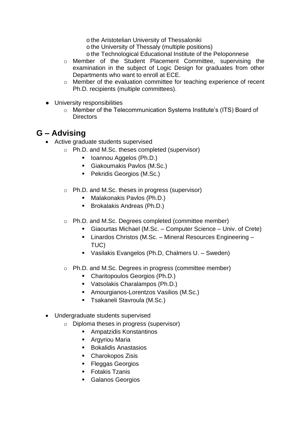o the Aristotelian University of Thessaloniki

o the University of Thessaly (multiple positions)

- o the Technological Educational Institute of the Peloponnese
- o Member of the Student Placement Committee, supervising the examination in the subject of Logic Design for graduates from other Departments who want to enroll at ECE.
- o Member of the evaluation committee for teaching experience of recent Ph.D. recipients (multiple committees).
- University responsibilities
	- o Member of the Telecommunication Systems Institute's (ITS) Board of **Directors**

- Active graduate students supervised
	- o Ph.D. and M.Sc. theses completed (supervisor)
		- Ioannou Aggelos (Ph.D.)
		- Giakoumakis Pavlos (M.Sc.)
		- Pekridis Georgios (M.Sc.)
	- o Ph.D. and M.Sc. theses in progress (supervisor)
		- Malakonakis Pavlos (Ph.D.)
		- Brokalakis Andreas (Ph.D.)
	- o Ph.D. and M.Sc. Degrees completed (committee member)
		- Giaourtas Michael (M.Sc. Computer Science Univ. of Crete)
		- Linardos Christos (M.Sc. Mineral Resources Engineering TUC)
		- Vasilakis Evangelos (Ph.D, Chalmers U. Sweden)
	- o Ph.D. and M.Sc. Degrees in progress (committee member)
		- Charitopoulos Georgios (Ph.D.)
		- Vatsolakis Charalampos (Ph.D.)
		- Amourgianos-Lorentzos Vasilios (M.Sc.)
		- Tsakaneli Stavroula (M.Sc.)
- Undergraduate students supervised
	- o Diploma theses in progress (supervisor)
		- Ampatzidis Konstantinos
		- Argyriou Maria
		- Bokalidis Anastasios
		- Charokopos Zisis
		- Fleggas Georgios
		- Fotakis Tzanis
		- Galanos Georgios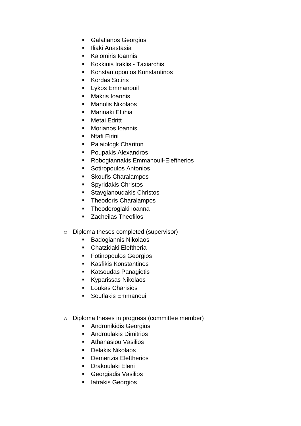- Galatianos Georgios
- Iliaki Anastasia
- Kalomiris Ioannis
- Kokkinis Iraklis Taxiarchis
- Konstantopoulos Konstantinos
- Kordas Sotiris
- **•** Lykos Emmanouil
- Makris Ioannis
- Manolis Nikolaos
- Marinaki Eftihia
- Metai Fdritt
- Morianos Ioannis
- Ntafi Firini
- Palaiologk Chariton
- Poupakis Alexandros
- Robogiannakis Emmanouil-Eleftherios
- Sotiropoulos Antonios
- Skoufis Charalampos
- Spyridakis Christos
- Stavgianoudakis Christos
- Theodoris Charalampos
- **·** Theodoroglaki Ioanna
- Zacheilas Theofilos
- o Diploma theses completed (supervisor)
	- Badogiannis Nikolaos
	- Chatzidaki Eleftheria
	- Fotinopoulos Georgios
	- Kasfikis Konstantinos
	- Katsoudas Panagiotis
	- Kyparissas Nikolaos
	- Loukas Charisios
	- Souflakis Emmanouil
- o Diploma theses in progress (committee member)
	- Andronikidis Georgios
	- Androulakis Dimitrios
	- Athanasiou Vasilios
	- Delakis Nikolaos
	- Demertzis Eleftherios
	- Drakoulaki Eleni
	- Georgiadis Vasilios
	- latrakis Georgios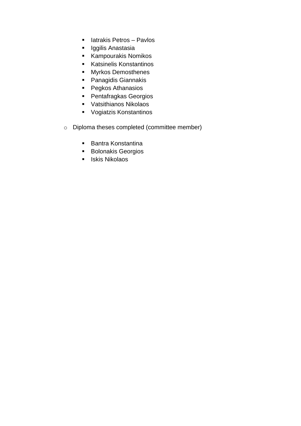- latrakis Petros Pavlos
- Iggilis Anastasia
- Kampourakis Nomikos
- Katsinelis Konstantinos
- Myrkos Demosthenes
- Panagidis Giannakis
- Pegkos Athanasios
- Pentafragkas Georgios
- Vatsithianos Nikolaos
- Vogiatzis Konstantinos
- o Diploma theses completed (committee member)
	- Bantra Konstantina
	- Bolonakis Georgios
	- Iskis Nikolaos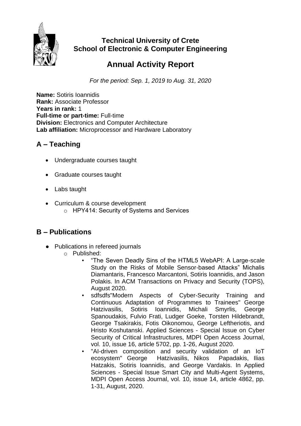

### **Technical University of Crete School of Electronic & Computer Engineering**

# **Annual Activity Report**

*For the period: Sep. 1, 2019 to Aug. 31, 2020*

**Name:** Sotiris Ioannidis **Rank:** Associate Professor **Years in rank:** 1 **Full-time or part-time:** Full-time **Division:** Electronics and Computer Architecture **Lab affiliation:** Microprocessor and Hardware Laboratory

### **A – Teaching**

- Undergraduate courses taught
- Graduate courses taught
- Labs taught
- Curriculum & course development o ΗΡΥ414: Security of Systems and Services

- Publications in refereed journals
	- o Published:
		- "The Seven Deadly Sins of the HTML5 WebAPI: A Large-scale Study on the Risks of Mobile Sensor-based Attacks" Michalis Diamantaris, Francesco Marcantoni, Sotiris Ioannidis, and Jason Polakis. In ACM Transactions on Privacy and Security (TOPS), August 2020.
		- sdfsdfs"Modern Aspects of Cyber-Security Training and Continuous Adaptation of Programmes to Trainees" George Hatzivasilis, Sotiris Ioannidis, Michali Smyrlis, George Spanoudakis, Fulvio Frati, Ludger Goeke, Torsten Hildebrandt, George Tsakirakis, Fotis Oikonomou, George Leftheriotis, and Hristo Koshutanski. Applied Sciences - Special Issue on Cyber Security of Critical Infrastructures, MDPI Open Access Journal, vol. 10, issue 16, article 5702, pp. 1-26, August 2020.
		- "AI-driven composition and security validation of an IoT ecosystem" George Hatzivasilis, Nikos Papadakis, Ilias Hatzakis, Sotiris Ioannidis, and George Vardakis. In Applied Sciences - Special Issue Smart City and Multi-Agent Systems, MDPI Open Access Journal, vol. 10, issue 14, article 4862, pp. 1-31, August, 2020.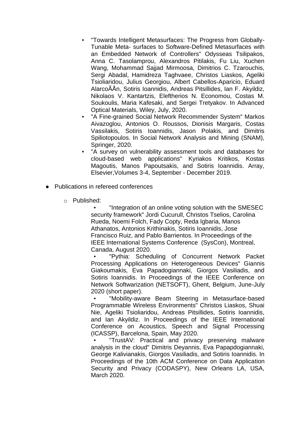- "Towards Intelligent Metasurfaces: The Progress from Globally-Tunable Meta- surfaces to Software-Defined Metasurfaces with an Embedded Network of Controllers" Odysseas Tsilipakos, Anna C. Tasolamprou, Alexandros Pitilakis, Fu Liu, Xuchen Wang, Mohammad Sajjad Mirmoosa, Dimitrios C. Tzarouchis, Sergi Abadal, Hamidreza Taghvaee, Christos Liaskos, Ageliki Tsioliaridou, Julius Georgiou, Albert Cabellos-Aparicio, Eduard AlarcoÃÅn, Sotiris Ioannidis, Andreas Pitsillides, Ian F. Akyildiz, Nikolaos V. Kantartzis, Eleftherios N. Economou, Costas M. Soukoulis, Maria Kafesaki, and Sergei Tretyakov. In Advanced Optical Materials, Wiley, July, 2020.
- "A Fine-grained Social Network Recommender System" Markos Aivazoglou, Antonios O. Roussos, Dionisis Margaris, Costas Vassilakis, Sotiris Ioannidis, Jason Polakis, and Dimitris Spiliotopoulos. In Social Network Analysis and Mining (SNAM), Springer, 2020.
- "A survey on vulnerability assessment tools and databases for cloud-based web applications" Kyriakos Kritikos, Kostas Magoutis, Manos Papoutsakis, and Sotiris Ioannidis. Array, Elsevier,Volumes 3-4, September - December 2019.
- Publications in refereed conferences
	- o Published:

"Integration of an online voting solution with the SMESEC security framework" Jordi Cucurull, Christos Tselios, Carolina Rueda, Noemi Folch, Fady Copty, Reda Igbaria, Manos Athanatos, Antonios Krithinakis, Sotiris Ioannidis, Jose Francisco Ruiz, and Pablo Barrientos. In Proceedings of the IEEE International Systems Conference (SysCon), Montreal, Canada, August 2020.

"Pythia: Scheduling of Concurrent Network Packet Processing Applications on Heterogeneous Devices" Giannis Giakoumakis, Eva Papadogiannaki, Giorgos Vasiliadis, and Sotiris Ioannidis. In Proceedings of the IEEE Conference on Network Softwarization (NETSOFT), Ghent, Belgium, June-July 2020 (short paper).

▪ "Mobility-aware Beam Steering in Metasurface-based Programmable Wireless Environments" Christos Liaskos, Shuai Nie, Ageliki Tsioliaridou, Andreas Pitsillides, Sotiris Ioannidis, and Ian Akyildiz. In Proceedings of the IEEE International Conference on Acoustics, Speech and Signal Processing (ICASSP), Barcelona, Spain, May 2020.

"TrustAV: Practical and privacy preserving malware analysis in the cloud" Dimitris Deyannis, Eva Papapdogiannaki, George Kalivianakis, Giorgos Vasiliadis, and Sotiris Ioannidis. In Proceedings of the 10th ACM Conference on Data Application Security and Privacy (CODASPY), New Orleans LA, USA, March 2020.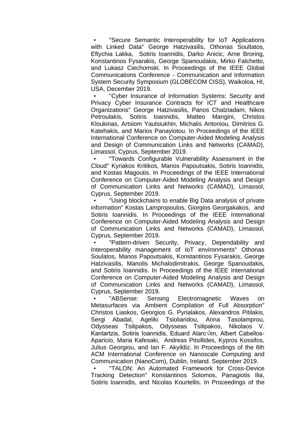"Secure Semantic Interoperability for IoT Applications with Linked Data" George Hatzivasilis, Othonas Soultatos, Eftychia Lakka, Sotiris Ioannidis, Darko Anicic, Arne Broring, Konstantinos Fysarakis, George Spanoudakis, Mirko Falchetto, and Lukasz Ciechomski. In Proceedings of the IEEE Global Communications Conference - Communication and Information System Security Symposium (GLOBECOM CISS), Waikoloa, HI, USA, December 2019.

"Cyber Insurance of Information Systems: Security and Privacy Cyber Insurance Contracts for ICT and Healthcare Organizations" George Hatzivasilis, Panos Chatziadam, Nikos Petroulakis, Sotiris Ioannidis, Matteo Mangini, Christos Kloukinas, Artsiom Yautsiukhin, Michalis Antoniou, Dimitrios G. Katehakis, and Marios Panayiotou. In Proceedings of the IEEE International Conference on Computer-Aided Modeling Analysis and Design of Communication Links and Networks (CAMAD), Limassol, Cyprus, September 2019.

"Towards Configurable Vulnerability Assessment in the Cloud" Kyriakos Kritikos, Manos Papoutsakis, Sotiris Ioannidis, and Kostas Magoutis. In Proceedings of the IEEE International Conference on Computer-Aided Modeling Analysis and Design of Communication Links and Networks (CAMAD), Limassol, Cyprus, September 2019.

"Using blockchains to enable Big Data analysis of private information" Kostas Lampropoulos, Giorgios Georgakakos, and Sotiris Ioannidis. In Proceedings of the IEEE International Conference on Computer-Aided Modeling Analysis and Design of Communication Links and Networks (CAMAD), Limassol, Cyprus, September 2019.

"Pattern-driven Security, Privacy, Dependability and Interoperability management of IoT environments" Othonas Soulatos, Manos Papoutsakis, Konstantinos Fysarakis, George Hatzivasilis, Manolis Michalodimitrakis, George Spanoudakis, and Sotiris Ioannidis. In Proceedings of the IEEE International Conference on Computer-Aided Modeling Analysis and Design of Communication Links and Networks (CAMAD), Limassol, Cyprus, September 2019.

"ABSense: Sensing Electromagnetic Waves on Metasurfaces via Ambient Compilation of Full Absorption" Christos Liaskos, Georgios G. Pyrialakos, Alexandros Pitilakis, Sergi Abadal, Ageliki Tsioliaridou, Anna Tasolamprou, Odysseas Tsilipakos, Odysseas Tsilipakos, Nikolaos V. Kantartzis, Sotiris Ioannidis, Eduard Alarc $\sqrt{2}n$ , Albert Cabellos-Aparicio, Maria Kafesaki, Andreas Pitsillides, Kypros Kossifos, Julius Georgiou, and Ian F. Akyildiz. In Proceedings of the 6th ACM International Conference on Nanoscale Computing and Communication (NanoCom), Dublin, Ireland. September 2019.

"TALON: An Automated Framework for Cross-Device Tracking Detection" Konstantinos Solomos, Panagiotis Ilia, Sotiris Ioannidis, and Nicolas Kourtellis. In Proceedings of the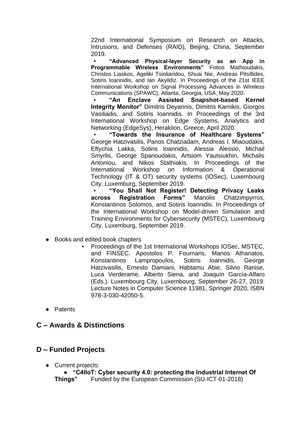22nd International Symposium on Research on Attacks, Intrusions, and Defenses (RAID), Beijing, China, September 2019.

▪ **"Advanced Physical-layer Security as an App in Programmable Wireless Environments"** Fotios Mathioudakis, Christos Liaskos, Ageliki Tsioliaridou, Shuai Nie, Andreas Pitsillides, Sotiris Ioannidis, and Ian Akyildiz. In Proceedings of the 21st IEEE International Workshop on Signal Processing Advances in Wireless Communications (SPAWC), Atlanta, Georgia, USA, May 2020.

▪ **"An Enclave Assisted Snapshot-based Kernel Integrity Monitor"** Dimitris Deyannis, Dimitris Karnikis, Giorgos Vasiliadis, and Sotiris Ioannidis. In Proceedings of the 3rd International Workshop on Edge Systems, Analytics and Networking (EdgeSys), Heraklion, Greece, April 2020.

▪ **"Towards the Insurance of Healthcare Systems"** George Hatzivasilis, Panos Chatziadam, Andreas I. Miaoudakis, Eftychia Lakka, Sotiris Ioannidis, Alessia Alessio, Michail Smyrlis, George Spanoudakis, Artsiom Yautsiukhin, Michalis Antoniou, and Nikos Stathiakis. In Proceedings of the International Workshop on Information & Operational Technology (IT & OT) security systems (IOSec), Luxembourg City, Luxemburg, September 2019.

▪ **"You Shall Not Register! Detecting Privacy Leaks across Registration Forms"** Manolis Chatzimpyrros, Konstantinos Solomos, and Sotiris Ioannidis. In Proceedings of the International Workshop on Model-driven Simulation and Training Environments for Cybersecurity (MSTEC), Luxembourg City, Luxemburg, September 2019.

- Books and edited book chapters
	- Proceedings of the 1st International Workshops IOSec, MSTEC, and FINSEC. Apostolos P. Fournaris, Manos Athanatos, Konstantinos Lampropoulos, Sotiris Ioannidis, George Hatzivasilis, Ernesto Damiani, Habtamu Abie, Silvio Ranise, Luca Verderame, Alberto Siena, and Joaquín García-Alfaro (Eds.). Luxembourg City, Luxembourg, September 26-27, 2019. Lecture Notes in Computer Science 11981, Springer 2020, ISBN 978-3-030-42050-5.
- Patents

#### **C – Awards & Distinctions**

#### **D – Funded Projects**

● Current projects:

● **"C4IIoT: Cyber security 4.0: protecting the Industrial Internet Of Things"** Funded by the European Commission (SU-ICT-01-2018)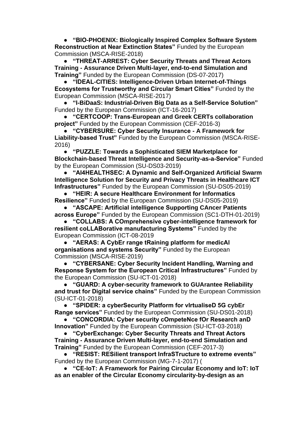● **"BIO-PHOENIX: Biologically Inspired Complex Software System Reconstruction at Near Extinction States"** Funded by the European Commission (MSCA-RISE-2018)

● **"THREAT-ARREST: Cyber Security Threats and Threat Actors Training - Assurance Driven Multi-layer, end-to-end Simulation and Training"** Funded by the European Commission (DS-07-2017)

● **"IDEAL-CITIES: Intelligence-Driven Urban Internet-of-Things Ecosystems for Trustworthy and Circular Smart Cities"** Funded by the European Commission (MSCA-RISE-2017)

● **"I-BiDaaS: Industrial-Driven Big Data as a Self-Service Solution"** Funded by the European Commission (ICT-16-2017)

**"CERTCOOP: Trans-European and Greek CERTs collaboration project"** Funded by the European Commission (CEF-2016-3)

● **"CYBERSURE: Cyber Security Insurance - A Framework for Liability-based Trust"** Funded by the European Commission (MSCA-RISE-2016)

● **"PUZZLE: Towards a Sophisticated SIEM Marketplace for Blockchain-based Threat Intelligence and Security-as-a-Service"** Funded by the European Commission (SU-DS03-2019)

● **"AI4HEALTHSEC: A Dynamic and Self-Organized Artificial Swarm Intelligence Solution for Security and Privacy Threats in Healthcare ICT Infrastructures"** Funded by the European Commission (SU-DS05-2019)

● **"HEIR: A secure Healthcare Environment for Informatics Resilience"** Funded by the European Commission (SU-DS05-2019)

● **"ASCAPE: Αrtificial intelligence Supporting CAncer Patients across Europe"** Funded by the European Commission (SC1-DTH-01-2019)

● **"COLLABS: Α COmprehensive cyber-intelligence framework for resilient coLLABorative manufacturing Systems"** Funded by the European Commission (ICT-08-2019

● **"AERAS: A CybEr range tRaining platform for medicAl organisations and systems Security"** Funded by the European Commission (MSCA-RISE-2019)

● **"CYBERSANE: Cyber Security Incident Handling, Warning and Response System for the European Critical Infrastructures"** Funded by the European Commission (SU-ICT-01-2018)

● **"GUARD: A cyber-security framework to GUArantee Reliability and trust for Digital service chains"** Funded by the European Commission (SU-ICT-01-2018)

● **"SPIDER: a cyberSecurity Platform for vIrtualiseD 5G cybEr Range services"** Funded by the European Commission (SU-DS01-2018)

● **"CONCORDIA: Cyber security cOmpeteNce fOr Research anD Innovation"** Funded by the European Commission (SU-ICT-03-2018)

● **"CyberExchange: Cyber Security Threats and Threat Actors Training - Assurance Driven Multi-layer, end-to-end Simulation and Training"** Funded by the European Commission (CEF-2017-3)

● **"RESIST: RESilient transport InfraSTructure to extreme events"** Funded by the European Commission (MG-7-1-2017) (

● **"CE-IoT: A Framework for Pairing Circular Economy and IoT: IoT as an enabler of the Circular Economy circularity-by-design as an**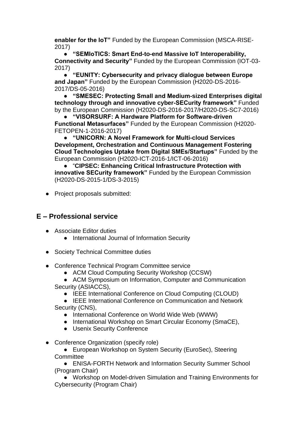**enabler for the IoT"** Funded by the European Commission (MSCA-RISE-2017)

● **"SEMIoTICS: Smart End-to-end Massive IoT Interoperability, Connectivity and Security"** Funded by the European Commission (IOT-03- 2017)

● **"EUNITY: Cybersecurity and privacy dialogue between Europe and Japan"** Funded by the European Commission (H2020-DS-2016- 2017/DS-05-2016)

● **"SMESEC: Protecting Small and Medium-sized Enterprises digital technology through and innovative cyber-SECurity framework"** Funded by the European Commission (H2020-DS-2016-2017/H2020-DS-SC7-2016)

● **"VISORSURF: A Hardware Platform for Software-driven Functional Metasurfaces"** Funded by the European Commission (H2020- FETOPEN-1-2016-2017)

● **"UNICORN: A Novel Framework for Multi-cloud Services Development, Orchestration and Continuous Management Fostering Cloud Technologies Uptake from Digital SMEs/Startups"** Funded by the European Commission (H2020-ICT-2016-1/ICT-06-2016)

● "**CIPSEC: Enhancing Critical Infrastructure Protection with innovative SECurity framework"** Funded by the European Commission (H2020-DS-2015-1/DS-3-2015)

● Project proposals submitted:

### **E – Professional service**

- Associate Editor duties
	- International Journal of Information Security
- Society Technical Committee duties
- Conference Technical Program Committee service
	- ACM Cloud Computing Security Workshop (CCSW)

● ACM Symposium on Information, Computer and Communication Security (ASIACCS),

● IEEE International Conference on Cloud Computing (CLOUD)

● IEEE International Conference on Communication and Network Security (CNS),

- International Conference on World Wide Web (WWW)
- International Workshop on Smart Circular Economy (SmaCE),
- Usenix Security Conference
- Conference Organization (specify role)

● European Workshop on System Security (EuroSec), Steering **Committee** 

● ENISA-FORTH Network and Information Security Summer School (Program Chair)

● Workshop on Model-driven Simulation and Training Environments for Cybersecurity (Program Chair)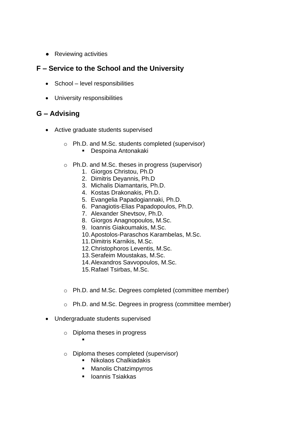● Reviewing activities

#### **F – Service to the School and the University**

- School level responsibilities
- University responsibilities

- Active graduate students supervised
	- o Ph.D. and M.Sc. students completed (supervisor)
		- Despoina Antonakaki
	- o Ph.D. and M.Sc. theses in progress (supervisor)
		- 1. Giorgos Christou, Ph.D
		- 2. Dimitris Deyannis, Ph.D
		- 3. Michalis Diamantaris, Ph.D.
		- 4. Kostas Drakonakis, Ph.D.
		- 5. Evangelia Papadogiannaki, Ph.D.
		- 6. Panagiotis-Elias Papadopoulos, Ph.D.
		- 7. Alexander Shevtsov, Ph.D.
		- 8. Giorgos Anagnopoulos, M.Sc.
		- 9. Ioannis Giakoumakis, M.Sc.
		- 10.Apostolos-Paraschos Karambelas, M.Sc.
		- 11.Dimitris Karnikis, M.Sc.
		- 12.Christophoros Leventis, M.Sc.
		- 13.Serafeim Moustakas, M.Sc.
		- 14.Alexandros Savvopoulos, M.Sc.
		- 15.Rafael Tsirbas, M.Sc.
	- o Ph.D. and M.Sc. Degrees completed (committee member)
	- o Ph.D. and M.Sc. Degrees in progress (committee member)
- Undergraduate students supervised
	- o Diploma theses in progress
		- ▪
	- o Diploma theses completed (supervisor)
		- Nikolaos Chalkiadakis
		- Manolis Chatzimpyrros
		- Ioannis Tsiakkas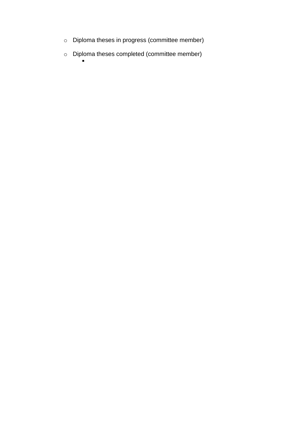- o Diploma theses in progress (committee member)
- o Diploma theses completed (committee member)  $\blacksquare$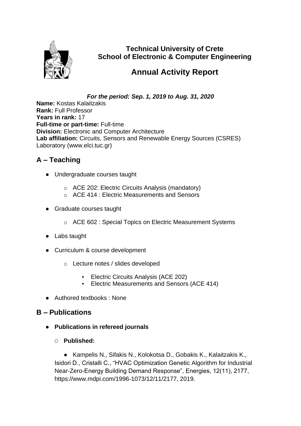

**Technical University of Crete School of Electronic & Computer Engineering**

# **Annual Activity Report**

*For the period: Sep. 1, 2019 to Aug. 31, 2020*

**Name:** Kostas Kalaitzakis **Rank:** Full Professor **Years in rank:** 17 **Full-time or part-time:** Full-time **Division:** Electronic and Computer Architecture **Lab affiliation:** Circuits, Sensors and Renewable Energy Sources (CSRES) Laboratory (www.elci.tuc.gr)

## **A – Teaching**

- Undergraduate courses taught
	- o ACE 202: Electric Circuits Analysis (mandatory)
	- o ACE 414 : Electric Measurements and Sensors
- Graduate courses taught
	- o ACE 602 : Special Topics on Electric Measurement Systems
- Labs taught
- Curriculum & course development
	- o Lecture notes / slides developed
		- **Electric Circuits Analysis (ACE 202)**
		- Electric Measurements and Sensors (ACE 414)
- Authored textbooks : None

#### **B – Publications**

- **Publications in refereed journals**
	- O **Published:**

● Kampelis N., Sifakis N., Kolokotsa D., Gobakis K., Kalaitzakis K., Isidori D., Cristalli C., "HVAC Optimization Genetic Algorithm for Industrial Near-Zero-Energy Building Demand Response", Energies, 12(11), 2177, https://www.mdpi.com/1996-1073/12/11/2177, 2019.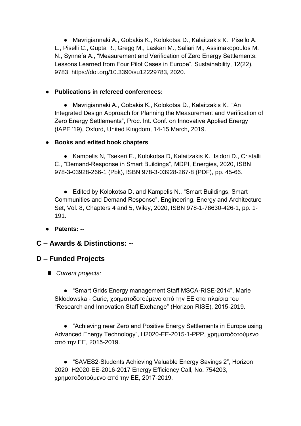● Mavrigiannaki A., Gobakis K., Kolokotsa D., Kalaitzakis K., Pisello A. L., Piselli C., Gupta R., Gregg M., Laskari M., Saliari M., Assimakopoulos M. N., Synnefa A., "Measurement and Verification of Zero Energy Settlements: Lessons Learned from Four Pilot Cases in Europe", Sustainability, 12(22), 9783, https://doi.org/10.3390/su12229783, 2020.

#### ● **Publications in refereed conferences:**

● Mavrigiannaki A., Gobakis K., Kolokotsa D., Kalaitzakis K., "An Integrated Design Approach for Planning the Measurement and Verification of Zero Energy Settlements", Proc. Int. Conf. on Innovative Applied Energy (IAPE '19), Oxford, United Kingdom, 14-15 March, 2019.

#### ● **Books and edited book chapters**

● Kampelis N, Tsekeri E., Kolokotsa D, Kalaitzakis K., Isidori D., Cristalli C., "Demand-Response in Smart Buildings", MDPI, Energies, 2020, ISBN 978-3-03928-266-1 (Pbk), ISBN 978-3-03928-267-8 (PDF), pp. 45-66.

● Edited by Kolokotsa D. and Kampelis N., "Smart Buildings, Smart Communities and Demand Response", Engineering, Energy and Architecture Set, Vol. 8, Chapters 4 and 5, Wiley, 2020, ISBN 978-1-78630-426-1, pp. 1- 191.

● **Patents: --**

#### **C – Awards & Distinctions: --**

#### **D – Funded Projects**

■ *Current projects:* 

● "Smart Grids Energy management Staff MSCA-RISE-2014", Marie Skłodowska - Curie, χρηματοδοτούμενο από την ΕΕ στα πλαίσια του "Research and Innovation Staff Exchange" (Horizon RISE), 2015-2019.

● "Achieving near Zero and Positive Energy Settlements in Europe using Advanced Energy Technology", H2020-EE-2015-1-PPP, χρηματοδοτούμενο από την ΕΕ, 2015-2019.

● "SAVES2-Students Achieving Valuable Energy Savings 2", Horizon 2020, H2020-EE-2016-2017 Energy Efficiency Call, No. 754203, χρηματοδοτούμενο από την ΕΕ, 2017-2019.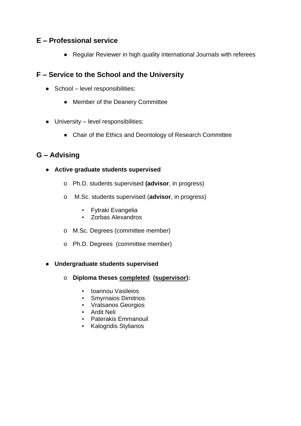#### **E – Professional service**

● Regular Reviewer in high quality international Journals with referees

#### **F – Service to the School and the University**

- School level responsibilities:
	- Member of the Deanery Committee
- $\bullet$  University level responsibilities:
	- Chair of the Ethics and Deontology of Research Committee

### **G – Advising**

- **Active graduate students supervised**
	- o Ph.D. students supervised **(advisor**, in progress)
	- o M.Sc. students supervised (**advisor**, in progress)
		- Fytraki Evangelia
		- Zorbas Alexandros
	- o M.Sc. Degrees (committee member)
	- o Ph.D. Degrees (committee member)

#### ● **Undergraduate students supervised**

- o **Diploma theses completed (supervisor):** 
	- Ioannou Vasileios
	- Smyrnaios Dimitrios
	- Vratsanos Georgios
	- Ardit Neli
	- Paterakis Emmanouil
	- Kalogridis Stylianos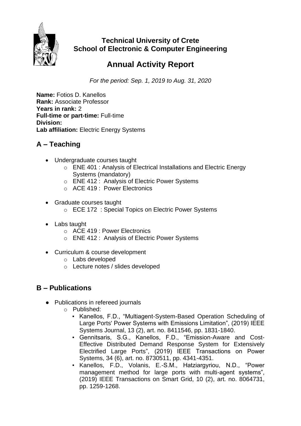

### **Technical University of Crete School of Electronic & Computer Engineering**

# **Annual Activity Report**

*For the period: Sep. 1, 2019 to Aug. 31, 2020*

**Name:** Fotios D. Kanellos **Rank:** Associate Professor **Years in rank:** 2 **Full-time or part-time:** Full-time **Division:**  Lab affiliation: Electric Energy Systems

## **A – Teaching**

- Undergraduate courses taught
	- o ENE 401 : Analysis of Electrical Installations and Electric Energy Systems (mandatory)
	- o ENE 412 : Analysis of Electric Power Systems
	- o ACE 419 : Power Electronics
- Graduate courses taught
	- o ECE 172 : Special Topics on Electric Power Systems
- Labs taught
	- o ACE 419 : Power Electronics
	- o ENE 412 : Analysis of Electric Power Systems
- Curriculum & course development
	- o Labs developed
	- o Lecture notes / slides developed

- Publications in refereed journals
	- o Published:
		- Kanellos, F.D., "Multiagent-System-Based Operation Scheduling of Large Ports' Power Systems with Emissions Limitation", (2019) IEEE Systems Journal, 13 (2), art. no. 8411546, pp. 1831-1840.
		- Gennitsaris, S.G., Kanellos, F.D., "Emission-Aware and Cost-Effective Distributed Demand Response System for Extensively Electrified Large Ports", (2019) IEEE Transactions on Power Systems, 34 (6), art. no. 8730511, pp. 4341-4351.
		- Kanellos, F.D., Volanis, E.-S.M., Hatziargyriou, N.D., "Power management method for large ports with multi-agent systems", (2019) IEEE Transactions on Smart Grid, 10 (2), art. no. 8064731, pp. 1259-1268.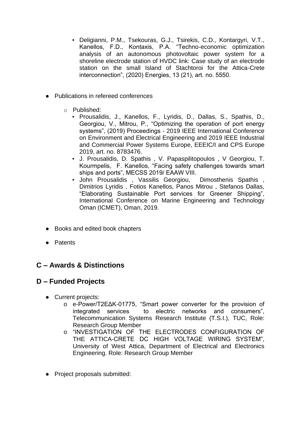- Deligianni, P.M., Tsekouras, G.J., Tsirekis, C.D., Kontargyri, V.T., Kanellos, F.D., Kontaxis, P.A. "Techno-economic optimization analysis of an autonomous photovoltaic power system for a shoreline electrode station of HVDC link: Case study of an electrode station on the small Island of Stachtoroi for the Attica-Crete interconnection", (2020) Energies, 13 (21), art. no. 5550.
- Publications in refereed conferences
	- o Published:
		- Prousalidis, J., Kanellos, F., Lyridis, D., Dallas, S., Spathis, D., Georgiou, V., Mitrou, P., "Optimizing the operation of port energy systems", (2019) Proceedings - 2019 IEEE International Conference on Environment and Electrical Engineering and 2019 IEEE Industrial and Commercial Power Systems Europe, EEEIC/I and CPS Europe 2019, art. no. 8783476.
		- J. Prousalidis, D. Spathis , V. Papaspilitopoulos , V Georgiou, T. Kourmpelis, F. Kanellos, "Facing safety challenges towards smart ships and ports", MECSS 2019/ EAAW VIII.
		- John Prousalidis , Vassilis Georgiou, Dimosthenis Spathis , Dimitrios Lyridis , Fotios Kanellos, Panos Mitrou , Stefanos Dallas, "Elaborating Sustainable Port services for Greener Shipping", International Conference on Marine Engineering and Technology Oman (ICMET), Oman, 2019.
- Books and edited book chapters
- Patents

### **C – Awards & Distinctions**

#### **D – Funded Projects**

- Current projects:
	- o e-Power/Τ2ΕΔΚ-01775, "Smart power converter for the provision of integrated services to electric networks and consumers", Telecommunication Systems Research Institute (T.S.I.), TUC, Role: Research Group Member
	- o "INVESTIGATION OF THE ELECTRODES CONFIGURATION OF THE ATTICA-CRETE DC HIGH VOLTAGE WIRING SYSTEM", University of West Attica, Department of Electrical and Electronics Engineering. Role: Research Group Member
- Project proposals submitted: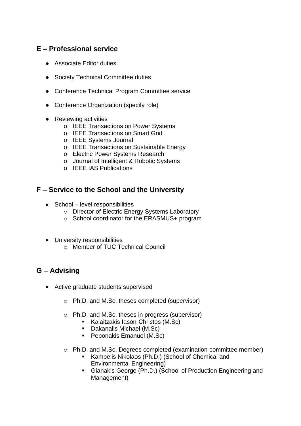#### **E – Professional service**

- Associate Editor duties
- Society Technical Committee duties
- Conference Technical Program Committee service
- Conference Organization (specify role)
- Reviewing activities
	- o IEEE Transactions on Power Systems
	- o IEEE Transactions on Smart Grid
	- o IEEE Systems Journal
	- o IEEE Transactions on Sustainable Energy
	- o Electric Power Systems Research
	- o Journal of Intelligent & Robotic Systems
	- o IEEE IAS Publications

#### **F – Service to the School and the University**

- School level responsibilities
	- o Director of Electric Energy Systems Laboratory
	- o School coordinator for the ERASMUS+ program
- University responsibilities
	- o Member of TUC Technical Council

- Active graduate students supervised
	- o Ph.D. and M.Sc. theses completed (supervisor)
	- o Ph.D. and M.Sc. theses in progress (supervisor)
		- Kalaitzakis Iason-Christos (M.Sc)
		- Dakanalis Michael (M.Sc)
		- Peponakis Emanuel (M.Sc)
	- o Ph.D. and M.Sc. Degrees completed (examination committee member)
		- Kampelis Nikolaos (Ph.D.) (School of Chemical and Environmental Engineering)
		- Gianakis George (Ph.D.) (School of Production Engineering and Management)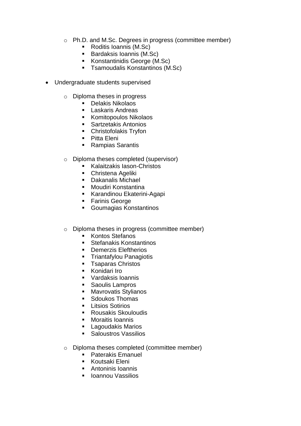- o Ph.D. and M.Sc. Degrees in progress (committee member)
	- Roditis Ioannis (M.Sc)
	- Bardaksis Ioannis (M.Sc)
	- Konstantinidis George (M.Sc)
	- Tsamoudalis Konstantinos (M.Sc)
- Undergraduate students supervised
	- o Diploma theses in progress
		- Delakis Nikolaos
		- Laskaris Andreas
		- Komitopoulos Nikolaos
		- Sartzetakis Antonios
		- Christofolakis Tryfon
		- Pitta Eleni
		- Rampias Sarantis
	- o Diploma theses completed (supervisor)
		- Kalaitzakis Iason-Christos
		- Christena Ageliki
		- Dakanalis Michael
		- Moudiri Konstantina
		- Karandinou Ekaterini-Agapi
		- Farinis George
		- Goumagias Konstantinos
	- o Diploma theses in progress (committee member)
		- Kontos Stefanos
		- Stefanakis Konstantinos
		- Demerzis Eleftherios
		- **Triantafylou Panagiotis**<br>Tsaparas Christos
		- **Tsaparas Christos**
		- Konidari Iro
		- Vardaksis Ioannis
		- Saoulis Lampros
		- Mavrovatis Stylianos
		- Sdoukos Thomas
		- **E** Litsios Sotirios
		- **Rousakis Skouloudis**
		- Moraitis Ioannis
		- **Lagoudakis Marios**
		- Saloustros Vassilios
	- o Diploma theses completed (committee member)
		- Paterakis Emanuel
		- Koutsaki Eleni
		- Antoninis Ioannis
		- Ioannou Vassilios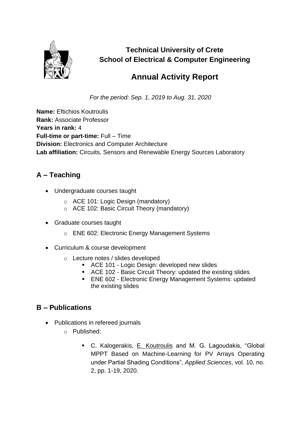

**Technical University of Crete School of Electrical & Computer Engineering**

# **Annual Activity Report**

*For the period: Sep. 1, 2019 to Aug. 31, 2020*

**Name:** Eftichios Koutroulis **Rank:** Associate Professor **Years in rank:** 4 **Full-time or part-time:** Full – Time **Division:** Electronics and Computer Architecture **Lab affiliation:** Circuits, Sensors and Renewable Energy Sources Laboratory

## **A – Teaching**

- Undergraduate courses taught
	- o ACE 101: Logic Design (mandatory)
	- o ACE 102: Basic Circuit Theory (mandatory)
- Graduate courses taught
	- o ENE 602: Electronic Energy Management Systems
- Curriculum & course development
	- o Lecture notes / slides developed
		- ACE 101 Logic Design: developed new slides
		- ACE 102 Basic Circuit Theory: updated the existing slides
		- ENE 602 Electronic Energy Management Systems: updated the existing slides

- Publications in refereed journals
	- o Published:
		- C. Kalogerakis, E. Koutroulis and M. G. Lagoudakis, "Global MPPT Based on Machine-Learning for PV Arrays Operating under Partial Shading Conditions", *Applied Sciences*, vol. 10, no. 2, pp. 1-19, 2020.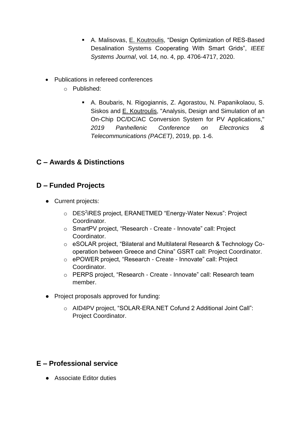- A. Malisovas, E. Koutroulis, "Design Optimization of RES-Based Desalination Systems Cooperating With Smart Grids", *IEEE Systems Journal*, vol. 14, no. 4, pp. 4706-4717, 2020.
- Publications in refereed conferences
	- o Published:
		- A. Boubaris, N. Rigogiannis, Z. Agorastou, N. Papanikolaou, S. Siskos and E. Koutroulis, "Analysis, Design and Simulation of an On-Chip DC/DC/AC Conversion System for PV Applications," *2019 Panhellenic Conference on Electronics & Telecommunications (PACET)*, 2019, pp. 1-6.

## **C – Awards & Distinctions**

#### **D – Funded Projects**

- Current projects:
	- o DES<sup>2</sup>iRES project, ERANETMED "Energy-Water Nexus": Project Coordinator.
	- o SmartPV project, "Research Create Innovate" call: Project **Coordinator**
	- o eSOLAR project, "Bilateral and Multilateral Research & Technology Cooperation between Greece and China" GSRT call: Project Coordinator.
	- o ePOWER project, "Research Create Innovate" call: Project Coordinator.
	- o PERPS project, "Research Create Innovate" call: Research team member.
- Project proposals approved for funding:
	- o AID4PV project, "SOLAR-ERA.NET Cofund 2 Additional Joint Call": Project Coordinator.

#### **E – Professional service**

● Associate Editor duties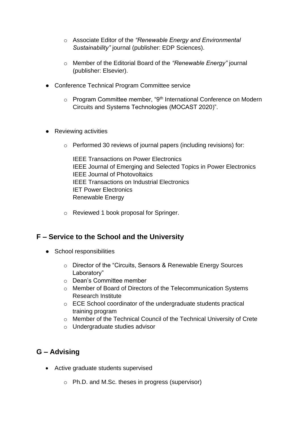- o Associate Editor of the *"Renewable Energy and Environmental Sustainability"* journal (publisher: EDP Sciences).
- o Member of the Editorial Board of the *"Renewable Energy"* journal (publisher: Elsevier).
- Conference Technical Program Committee service
	- o Program Committee member, "9th International Conference on Modern Circuits and Systems Technologies (MOCAST 2020)".
- Reviewing activities
	- o Performed 30 reviews of journal papers (including revisions) for:

IEEE Transactions on Power Electronics IEEE Journal of Emerging and Selected Topics in Power Electronics IEEE Journal of Photovoltaics IEEE Transactions on Industrial Electronics IET Power Electronics Renewable Energy

o Reviewed 1 book proposal for Springer.

#### **F – Service to the School and the University**

- School responsibilities
	- o Director of the "Circuits, Sensors & Renewable Energy Sources Laboratory"
	- o Dean's Committee member
	- o Member of Board of Directors of the Telecommunication Systems Research Institute
	- o ECE School coordinator of the undergraduate students practical training program
	- o Member of the Technical Council of the Technical University of Crete
	- o Undergraduate studies advisor

- Active graduate students supervised
	- o Ph.D. and M.Sc. theses in progress (supervisor)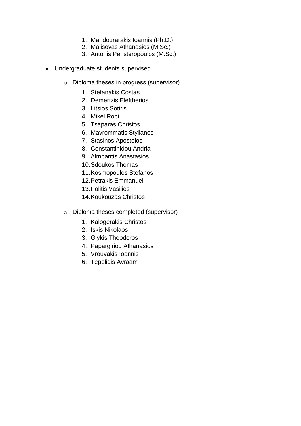- 1. Mandourarakis Ioannis (Ph.D.)
- 2. Malisovas Athanasios (M.Sc.)
- 3. Antonis Peristeropoulos (M.Sc.)
- Undergraduate students supervised
	- o Diploma theses in progress (supervisor)
		- 1. Stefanakis Costas
		- 2. Demertzis Eleftherios
		- 3. Litsios Sotiris
		- 4. Mikel Ropi
		- 5. Tsaparas Christos
		- 6. Mavrommatis Stylianos
		- 7. Stasinos Apostolos
		- 8. Constantinidou Andria
		- 9. Almpantis Anastasios
		- 10.Sdoukos Thomas
		- 11.Kosmopoulos Stefanos
		- 12.Petrakis Emmanuel
		- 13.Politis Vasilios
		- 14.Koukouzas Christos
	- o Diploma theses completed (supervisor)
		- 1. Kalogerakis Christos
		- 2. Iskis Nikolaos
		- 3. Glykis Theodoros
		- 4. Papargiriou Athanasios
		- 5. Vrouvakis Ioannis
		- 6. Tepelidis Avraam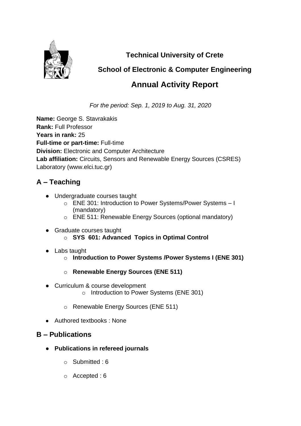

**Technical University of Crete**

# **School of Electronic & Computer Engineering**

# **Annual Activity Report**

*For the period: Sep. 1, 2019 to Aug. 31, 2020*

**Name:** George S. Stavrakakis **Rank:** Full Professor **Years in rank:** 25 **Full-time or part-time:** Full-time **Division:** Electronic and Computer Architecture **Lab affiliation:** Circuits, Sensors and Renewable Energy Sources (CSRES) Laboratory (www.elci.tuc.gr)

# **A – Teaching**

- Undergraduate courses taught
	- o ENE 301: Introduction to Power Systems/Power Systems I (mandatory)
	- o ENE 511: Renewable Energy Sources (optional mandatory)
- Graduate courses taught o **SYS 601: Advanced Topics in Optimal Control**
- Labs taught
	- o **Introduction to Power Systems /Power Systems I (ENE 301)**
	- o **Renewable Energy Sources (ENE 511)**
- Curriculum & course development o Introduction to Power Systems (ENE 301)
	- o Renewable Energy Sources (ENE 511)
- Authored textbooks : None

- **Publications in refereed journals**
	- o Submitted : 6
	- o Accepted : 6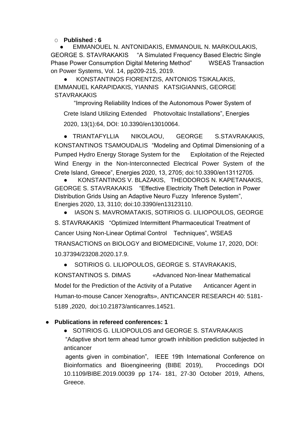O **Published : 6**

EMMANOUEL N. ANTONIDAKIS, EMMANOUIL N. MARKOULAKIS, GEORGE S. STAVRAKAKIS "A Simulated Frequency Based Electric Single Phase Power Consumption Digital Metering Method" WSEAS Transaction on Power Systems, Vol. 14, pp209-215, 2019.

KONSTANTINOS FIORENTZIS, ANTONIOS TSIKALAKIS, EMMANUEL KARAPIDAKIS, YIANNIS KATSIGIANNIS, GEORGE **STAVRAKAKIS** 

 "Improving Reliability Indices of the Autonomous Power System of Crete Island Utilizing Extended Photovoltaic Installations", Energies 2020, 13(1):64, DOI: [10.3390/en13010064.](https://www.researchgate.net/deref/http%3A%2F%2Fdx.doi.org%2F10.3390%2Fen13010064?_sg%5B0%5D=dafNUpjqokmOqNVd31D2dHpOBU6LTsnd7c8XpMZlq7XqqgOH2R42wcIl4gXNWxeYziV70nNoE-IbW-saWZRmPZIhAg.M5qTQtqfhd-_GvkvTiQTl7O8FoRv4jLBOyEFxPl_UG7Bfu-fPTi58oENI18UZEkDBXCttOo3jcxfEEAFrvDPDQ)

● TRIANTAFYLLIA NIKOLAOU, GEORGE S.STAVRAKAKIS, KONSTANTINOS TSAMOUDALIS "Modeling and Optimal Dimensioning of a Pumped Hydro Energy Storage System for the Exploitation of the Rejected Wind Energy in the Non-Interconnected Electrical Power System of the Crete Island, Greece", Energies 2020, 13, 2705; doi:10.3390/en13112705.

KONSTANTINOS V. BLAZAKIS, THEODOROS N. KAPETANAKIS, GEORGE S. STAVRAKAKIS "Effective Electricity Theft Detection in Power Distribution Grids Using an Adaptive Neuro Fuzzy Inference System", Energies 2020, 13, 3110; doi:10.3390/en13123110.

IASON S. MAVROMATAKIS, SOTIRIOS G. LILIOPOULOS, GEORGE S. STAVRAKAKIS "Optimized Intermittent Pharmaceutical Treatment of Cancer Using Non-Linear Optimal Control Techniques", WSEAS TRANSACTIONS on BIOLOGY and BIOMEDICINE, Volume 17, 2020, DOI: 10.37394/23208.2020.17.9.

● SOTIRIOS [G. LILIOPOULOS,](http://ar.iiarjournals.org/search?author1=SOTIRIOS+G.+LILIOPOULOS&sortspec=date&submit=Submit) [GEORGE S. STAVRAKAKIS,](http://ar.iiarjournals.org/search?author1=GEORGE+S.+STAVRAKAKIS&sortspec=date&submit=Submit)

[KONSTANTINOS S. DIMAS](http://ar.iiarjournals.org/search?author1=KONSTANTINOS+S.+DIMAS&sortspec=date&submit=Submit) «Advanced Non-linear Mathematical Model for the Prediction of the Activity of a Putative Anticancer Agent in Human-to-mouse Cancer Xenografts», ANTICANCER RESEARCH 40: 5181- 5189 ,2020, doi:10.21873/anticanres.14521.

#### ● **Publications in refereed conferences: 1**

● SOTIRIOS G. LILIOPOULOS and GEORGE S. STAVRAKAKIS "Adaptive short term ahead tumor growth inhibition prediction subjected in anticancer

agents given in combination", IEEE 19th International Conference on Bioinformatics and Bioengineering (BIBE 2019), Proccedings DOI 10.1109/BIBE.2019.00039 pp 174- 181, 27-30 October 2019, Athens, Greece.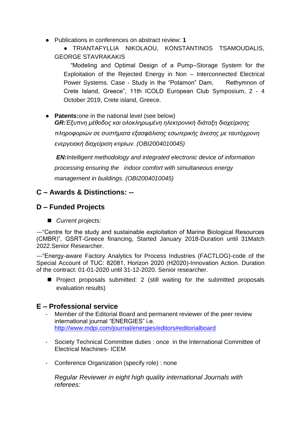● Publications in conferences on abstract review: **1**

● TRIANTAFYLLIA NIKOLAOU, KONSTANTINOS TSAMOUDALIS, GEORGE STAVRAKAKIS

 "Modeling and Optimal Design of a Pump–Storage System for the Exploitation of the Rejected Energy in Non – Interconnected Electrical Power Systems. Case - Study in the "Potamon" Dam, Rethymnon of Crete Island, Greece", 11th ICOLD European Club Symposium, 2 - 4 October 2019, Crete island, Greece.

● **Patents:**one in the national level (see below) *GR:Έξυπνη μέθοδος και ολοκληρωμένη ηλεκτρονική διάταξη διαχείρισης* 

*πληροφοριών σε συστήματα εξασφάλισης εσωτερικής άνεσης με ταυτόχρονη ενεργειακή διαχείριση κτιρίων. (OBI2004010045)*

*EN:Intelligent methodology and integrated electronic device of information processing ensuring the indoor comfort with simultaneous energy management in buildings. (OBI2004010045)*

### **C – Awards & Distinctions: --**

#### **D – Funded Projects**

■ *Current projects:* 

---"Centre for the study and sustainable exploitation of Marine Biological Resources (CMBR)", GSRT-Greece financing, Started January 2018-Duration until 31Match 2022.Senior Researcher.

---"Energy-aware Factory Analytics for Process Industries (FACTLOG)-code of the [Special Account of T](https://www.elke.tuc.gr/fileadmin/users_data/elke/_uploads/profile%CE%95%CE%9B%CE%9A%CE%95_2018_SITE-en.pdf)UC: 82081, Horizon 2020 (Η2020)-Innovation Action. Duration of the contract: 01-01-2020 until 31-12-2020. Senior researcher.

■ Project proposals submitted: 2 (still waiting for the submitted proposals evaluation results)

#### **E – Professional service**

- Member of the Editorial Board and permanent reviewer of the peer review international journal "ENERGIES" i.e. <http://www.mdpi.com/journal/energies/editors#editorialboard>
- Society Technical Committee duties : once in the International Committee of Electrical Machines- ICEM
- Conference Organization (specify role) : none

*Regular Reviewer in eight high quality international Journals with referees:*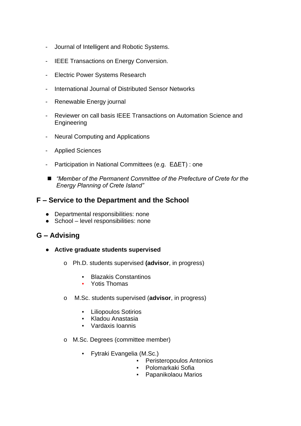- Journal of Intelligent and Robotic Systems.
- IEEE Transactions on Energy Conversion.
- Electric Power Systems Research
- International Journal of Distributed Sensor Networks
- Renewable Energy journal
- Reviewer on call basis IEEE Transactions on Automation Science and **Engineering**
- Neural Computing and Applications
- Applied Sciences
- Participation in National Committees (e.g. EΔΕΤ) : one
- *"Member of the Permanent Committee of the Prefecture of Crete for the Energy Planning of Crete Island"*

#### **F – Service to the Department and the School**

- Departmental responsibilities: none
- School level responsibilities: none

- **Active graduate students supervised**
	- o Ph.D. students supervised **(advisor**, in progress)
		- Blazakis Constantinos
		- Yotis Thomas
	- o M.Sc. students supervised (**advisor**, in progress)
		- Liliopoulos Sotirios
		- Kladou Anastasia
		- Vardaxis Ioannis
	- o M.Sc. Degrees (committee member)
		- Fytraki Evangelia (M.Sc.)
			- Peristeropoulos Antonios
			- Polomarkaki Sofia
			- Papanikolaou Marios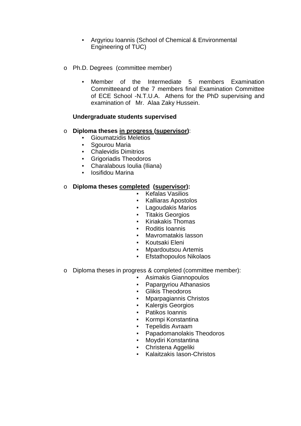- Argyriou Ioannis (School of Chemical & Environmental Engineering of TUC)
- o Ph.D. Degrees (committee member)
	- Member of the Intermediate 5 members Examination Committeeand of the 7 members final Examination Committee of ECE School -N.T.U.A. Athens for the PhD supervising and examination of Mr. Alaa Zaky Hussein.

#### **Undergraduate students supervised**

#### o **Diploma theses in progress (supervisor)**:

- Gioumatzidis Meletios
- Sgourou Maria
- Chalevidis Dimitrios
- Grigoriadis Theodoros
- Charalabous Ioulia (Iliana)
- Iosifidou Marina

#### o **Diploma theses completed (supervisor):**

- Kefalas Vasilios
- Kalliaras Apostolos
- Lagoudakis Marios
- **Titakis Georgios**
- Kiriakakis Thomas
- Roditis Ioannis
- Mavromatakis lasson
- Koutsaki Eleni
- Mpardoutsou Artemis
- Efstathopoulos Nikolaos
- o Diploma theses in progress & completed (committee member):
	- Asimakis Giannopoulos
	- Papargyriou Athanasios
	- Glikis Theodoros
	- Mparpagiannis Christos
	- Kalergis Georgios
	- Patikos Ioannis
	- Kormpi Konstantina
	- Tepelidis Avraam
	- Papadomanolakis Theodoros
	- Moydiri Konstantina
	- Christena Aggeliki
	- Kalaitzakis Iason-Christos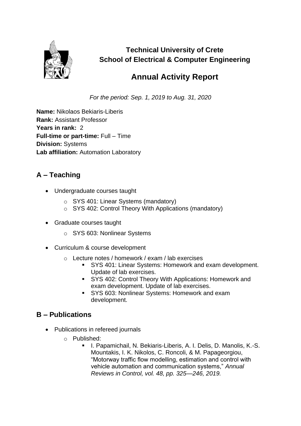

**Technical University of Crete School of Electrical & Computer Engineering**

# **Annual Activity Report**

*For the period: Sep. 1, 2019 to Aug. 31, 2020*

**Name:** Nikolaos Bekiaris-Liberis **Rank:** Assistant Professor **Years in rank:** 2 **Full-time or part-time:** Full – Time **Division:** Systems **Lab affiliation:** Automation Laboratory

## **A – Teaching**

- Undergraduate courses taught
	- o SYS 401: Linear Systems (mandatory)
	- o SYS 402: Control Theory With Applications (mandatory)
- Graduate courses taught
	- o SYS 603: Nonlinear Systems
- Curriculum & course development
	- o Lecture notes / homework / exam / lab exercises
		- SYS 401: Linear Systems: Homework and exam development. Update of lab exercises.
		- SYS 402: Control Theory With Applications: Homework and exam development. Update of lab exercises.
		- SYS 603: Nonlinear Systems: Homework and exam development.

- Publications in refereed journals
	- o Published:
		- I. Papamichail, N. Bekiaris-Liberis, A. I. Delis, D. Manolis, K.-S. Mountakis, I. K. Nikolos, C. Roncoli, & M. Papageorgiou, "Motorway traffic flow modelling, estimation and control with vehicle automation and communication systems," *Annual Reviews in Control, vol. 48, pp. 325—246, 2019.*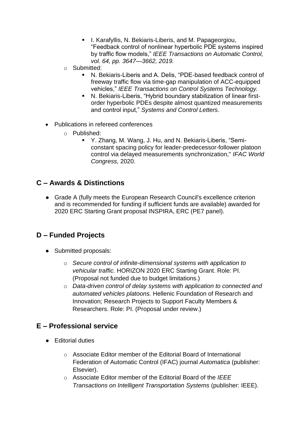- I. Karafyllis, N. Bekiaris-Liberis, and M. Papageorgiou, "Feedback control of nonlinear hyperbolic PDE systems inspired by traffic flow models," *IEEE Transactions on Automatic Control, vol. 64, pp. 3647—3662, 2019.*
- o Submitted:
	- N. Bekiaris-Liberis and A. Delis, "PDE-based feedback control of freeway traffic flow via time-gap manipulation of ACC-equipped vehicles," *IEEE Transactions on Control Systems Technology.*
	- N. Bekiaris-Liberis, "Hybrid boundary stabilization of linear firstorder hyperbolic PDEs despite almost quantized measurements and control input," *Systems and Control Letters*.
- Publications in refereed conferences
	- o Published:
		- Y. Zhang, M. Wang, J. Hu, and N. Bekiaris-Liberis, "Semiconstant spacing policy for leader-predecessor-follower platoon control via delayed measurements synchronization," *IFAC World Congress,* 2020.

#### **C – Awards & Distinctions**

● Grade A (fully meets the European Research Council's excellence criterion and is recommended for funding if sufficient funds are available) awarded for 2020 ERC Starting Grant proposal INSPIRA, ERC (PE7 panel).

#### **D – Funded Projects**

- Submitted proposals:
	- o *Secure control of infinite-dimensional systems with application to vehicular traffic.* HORIZON 2020 ERC Starting Grant. Role: PI. (Proposal not funded due to budget limitations.)
	- o *Data-driven control of delay systems with application to connected and automated vehicles platoons.* Hellenic Foundation of Research and Innovation*;* Research Projects to Support Faculty Members & Researchers. Role: PI. (Proposal under review.)

#### **E – Professional service**

- Editorial duties
	- o Associate Editor member of the Editorial Board of International Federation of Automatic Control (IFAC) journal *Automatica* (publisher: Elsevier).
	- o Associate Editor member of the Editorial Board of the *IEEE Transactions on Intelligent Transportation Systems* (publisher: IEEE).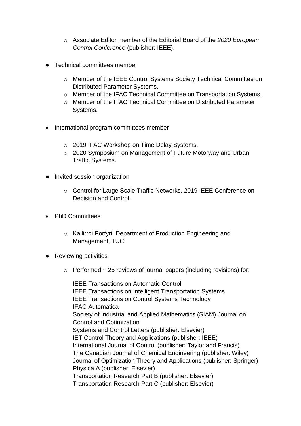- o Associate Editor member of the Editorial Board of the *2020 European Control Conference* (publisher: IEEE).
- Technical committees member
	- o Member of the IEEE Control Systems Society Technical Committee on Distributed Parameter Systems.
	- o Member of the IFAC Technical Committee on Transportation Systems.
	- o Member of the IFAC Technical Committee on Distributed Parameter Systems.
- International program committees member
	- o 2019 IFAC Workshop on Time Delay Systems.
	- o 2020 Symposium on Management of Future Motorway and Urban Traffic Systems.
- Invited session organization
	- o Control for Large Scale Traffic Networks, 2019 IEEE Conference on Decision and Control.
- PhD Committees
	- o Kallirroi Porfyri, Department of Production Engineering and Management, TUC.
- Reviewing activities
	- $\circ$  Performed  $\sim$  25 reviews of journal papers (including revisions) for:

IEEE Transactions on Automatic Control IEEE Transactions on Intelligent Transportation Systems IEEE Transactions on Control Systems Technology IFAC Automatica Society of Industrial and Applied Mathematics (SIAM) Journal on Control and Optimization Systems and Control Letters (publisher: Elsevier) IET Control Theory and Applications (publisher: IEEE) International Journal of Control (publisher: Taylor and Francis) The Canadian Journal of Chemical Engineering (publisher: Wiley) Journal of Optimization Theory and Applications (publisher: Springer) Physica A (publisher: Elsevier) Transportation Research Part B (publisher: Elsevier) Transportation Research Part C (publisher: Elsevier)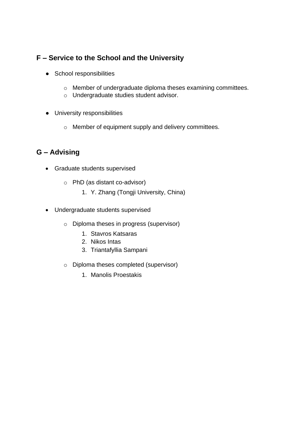# **F – Service to the School and the University**

- School responsibilities
	- o Member of undergraduate diploma theses examining committees.
	- o Undergraduate studies student advisor.
- University responsibilities
	- o Member of equipment supply and delivery committees.

- Graduate students supervised
	- o PhD (as distant co-advisor)
		- 1. Y. Zhang (Tongji University, China)
- Undergraduate students supervised
	- o Diploma theses in progress (supervisor)
		- 1. Stavros Katsaras
		- 2. Nikos Intas
		- 3. Triantafyllia Sampani
	- o Diploma theses completed (supervisor)
		- 1. Manolis Proestakis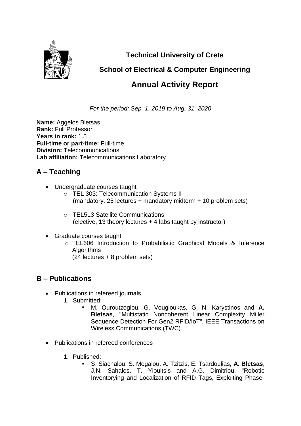

**Technical University of Crete**

# **School of Electrical & Computer Engineering**

# **Annual Activity Report**

*For the period: Sep. 1, 2019 to Aug. 31, 2020*

**Name:** Aggelos Bletsas **Rank:** Full Professor **Years in rank:** 1.5 **Full-time or part-time:** Full-time **Division:** Telecommunications **Lab affiliation:** Telecommunications Laboratory

# **A – Teaching**

- Undergraduate courses taught
	- o TEL 303: Telecommunication Systems II (mandatory, 25 lectures + mandatory midterm + 10 problem sets)
	- o TEL513 Satellite Communications (elective, 13 theory lectures + 4 labs taught by instructor)
- Graduate courses taught
	- o TEL606 Introduction to Probabilistic Graphical Models & Inference Algorithms
		- (24 lectures + 8 problem sets)

- Publications in refereed journals
	- 1. Submitted:
		- M. Ouroutzoglou, G. Vougioukas, G. N. Karystinos and **A. Bletsas**, "Multistatic Noncoherent Linear Complexity Miller Sequence Detection For Gen2 RFID/IoT", IEEE Transactions on Wireless Communications (TWC).
- Publications in refereed conferences
	- 1. Published:
		- S. Siachalou, S. Megalou, A. Tzitzis, E. Tsardoulias, **A. Bletsas**, J.N. Sahalos, T. Yioultsis and A.G. Dimitriou, "Robotic Inventorying and Localization of RFID Tags, Exploiting Phase-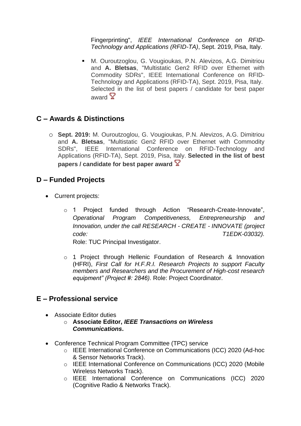Fingerprinting", *IEEE International Conference on RFID-Technology and Applications (RFID-TA)*, Sept. 2019, Pisa, Italy.

■ M. Ouroutzoglou, G. Vougioukas, P.N. Alevizos, A.G. Dimitriou and **A. Bletsas**, "Multistatic Gen2 RFID over Ethernet with Commodity SDRs", IEEE International Conference on RFID-Technology and Applications (RFID-TA), Sept. 2019, Pisa, Italy. Selected in the list of best papers / candidate for best paper award  $\mathbb{Y}$ 

## **C – Awards & Distinctions**

o **Sept. 2019:** M. Ouroutzoglou, G. Vougioukas, P.N. Alevizos, A.G. Dimitriou and **A. Bletsas**, "Multistatic Gen2 RFID over Ethernet with Commodity SDRs", IEEE International Conference on RFID-Technology and Applications (RFID-TA), Sept. 2019, Pisa, Italy. **Selected in the list of best papers / candidate for best paper award**

## **D – Funded Projects**

- Current projects:
	- o 1 Project funded through Action "Research-Create-Innovate", *Operational Program Competitiveness, Entrepreneurship and Innovation, under the call RESEARCH - CREATE - INNOVATE (project code: T1EDK-03032).*

Role: TUC Principal Investigator.

o 1 Project through Hellenic Foundation of Research & Innovation (HFRI), *First Call for H.F.R.I. Research Projects to support Faculty members and Researchers and the Procurement of High-cost research equipment" (Project #: 2846).* Role: Project Coordinator.

## **E – Professional service**

- Associate Editor duties
	- o **Associate Editor,** *IEEE Transactions on Wireless Communications***.**
- Conference Technical Program Committee (TPC) service
	- o IEEE International Conference on Communications (ICC) 2020 (Ad-hoc & Sensor Networks Track).
	- o IEEE International Conference on Communications (ICC) 2020 (Mobile Wireless Networks Track).
	- o IEEE International Conference on Communications (ICC) 2020 (Cognitive Radio & Networks Track).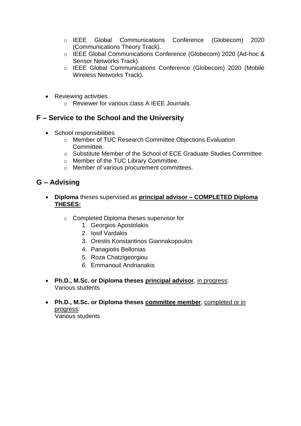- o IEEE Global Communications Conference (Globecom) 2020 (Communications Theory Track).
- o IEEE Global Communications Conference (Globecom) 2020 (Ad-hoc & Sensor Networks Track).
- o IEEE Global Communications Conference (Globecom) 2020 (Mobile Wireless Networks Track).
- Reviewing activities
	- o Reviewer for various class A IEEE Journals.

## **F – Service to the School and the University**

- School responsibilities
	- o Member of TUC Research Committee Objections Evaluation **Committee.**
	- o Substitute Member of the School of ECE Graduate Studies Committee.
	- o Member of the TUC Library Committee.
	- o Member of various procurement committees.

- **Diploma** theses supervised as **principal advisor – COMPLETED Diploma THESES:**
	- o Completed Diploma theses supervisor for
		- 1. Georgios Apostolakis
		- 2. Iosif Vardakis
		- 3. Orestis Konstantinos Giannakopoulos
		- 4. Panagiotis Bellonias
		- 5. Roza Chatzigeorgiou
		- 6. Emmanouil Andrianakis
- **Ph.D., M.Sc. or Diploma theses principal advisor**, in progress: Various students
- **Ph.D., M.Sc. or Diploma theses committee member**, completed or in progress: Various students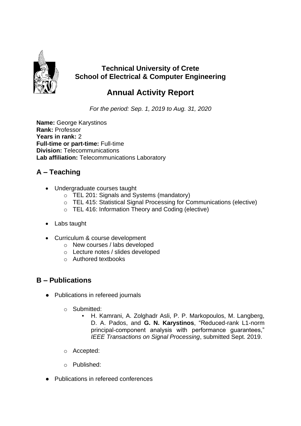

# **Technical University of Crete School of Electrical & Computer Engineering**

# **Annual Activity Report**

*For the period: Sep. 1, 2019 to Aug. 31, 2020*

**Name:** George Karystinos **Rank:** Professor **Years in rank:** 2 **Full-time or part-time:** Full-time **Division:** Telecommunications **Lab affiliation:** Telecommunications Laboratory

# **A – Teaching**

- Undergraduate courses taught
	- o TEL 201: Signals and Systems (mandatory)
	- o TEL 415: Statistical Signal Processing for Communications (elective)
	- o TEL 416: Information Theory and Coding (elective)
- Labs taught
- Curriculum & course development
	- o New courses / labs developed
	- o Lecture notes / slides developed
	- o Authored textbooks

- Publications in refereed journals
	- o Submitted:
		- H. Kamrani, A. Zolghadr Asli, P. P. Markopoulos, M. Langberg, D. A. Pados, and **G. N. Karystinos**, "Reduced-rank L1-norm principal-component analysis with performance guarantees," *IEEE Transactions on Signal Processing*, submitted Sept. 2019.
	- o Accepted:
	- o Published:
- Publications in refereed conferences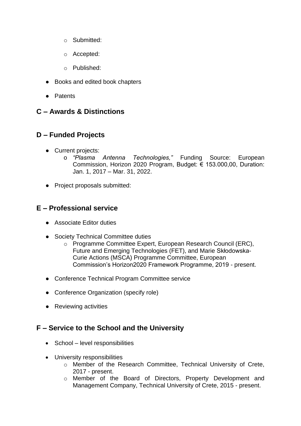- o Submitted:
- o Accepted:
- o Published:
- Books and edited book chapters
- Patents

## **C – Awards & Distinctions**

## **D – Funded Projects**

- Current projects:
	- o *"Plasma Antenna Technologies,"* Funding Source: European Commission, Horizon 2020 Program, Budget: € 153.000,00, Duration: Jan. 1, 2017 – Mar. 31, 2022.
- Project proposals submitted:

## **E – Professional service**

- Associate Editor duties
- Society Technical Committee duties
	- o Programme Committee Expert, European Research Council (ERC), Future and Emerging Technologies (FET), and Marie Skłodowska-Curie Actions (MSCA) Programme Committee, European Commission's Horizon2020 Framework Programme, 2019 - present.
- Conference Technical Program Committee service
- Conference Organization (specify role)
- Reviewing activities

## **F – Service to the School and the University**

- School level responsibilities
- University responsibilities
	- o Member of the Research Committee, Technical University of Crete, 2017 - present.
	- o Member of the Board of Directors, Property Development and Management Company, Technical University of Crete, 2015 - present.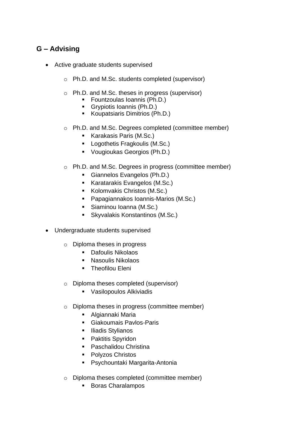- Active graduate students supervised
	- o Ph.D. and M.Sc. students completed (supervisor)
	- o Ph.D. and M.Sc. theses in progress (supervisor)
		- Fountzoulas Ioannis (Ph.D.)
		- Grypiotis Ioannis (Ph.D.)
		- Koupatsiaris Dimitrios (Ph.D.)
	- o Ph.D. and M.Sc. Degrees completed (committee member)
		- Karakasis Paris (M.Sc.)
		- Logothetis Fragkoulis (M.Sc.)
		- Vougioukas Georgios (Ph.D.)
	- o Ph.D. and M.Sc. Degrees in progress (committee member)
		- Giannelos Evangelos (Ph.D.)
		- Karatarakis Evangelos (M.Sc.)
		- Kolomvakis Christos (M.Sc.)
		- Papagiannakos Ioannis-Marios (M.Sc.)
		- Siaminou Ioanna (M.Sc.)
		- Skyvalakis Konstantinos (M.Sc.)
- Undergraduate students supervised
	- o Diploma theses in progress
		- Dafoulis Nikolaos
		- Nasoulis Nikolaos
		- **•** Theofilou Eleni
	- o Diploma theses completed (supervisor)
		- Vasilopoulos Alkiviadis
	- o Diploma theses in progress (committee member)
		- Algiannaki Maria
		- Giakoumais Pavlos-Paris
		- Iliadis Stylianos
		- Paktitis Spyridon
		- Paschalidou Christina
		- Polyzos Christos
		- Psychountaki Margarita-Antonia
	- o Diploma theses completed (committee member)
		- Boras Charalampos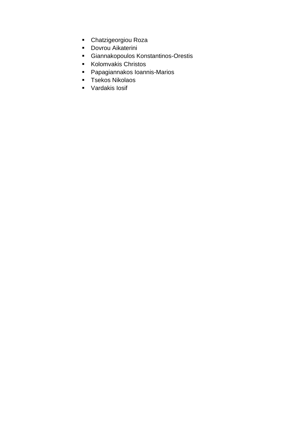- Chatzigeorgiou Roza
- Dovrou Aikaterini
- Giannakopoulos Konstantinos-Orestis
- Kolomvakis Christos
- Papagiannakos Ioannis-Marios
- Tsekos Nikolaos
- Vardakis losif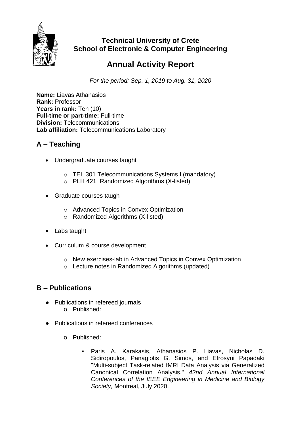

# **Technical University of Crete School of Electronic & Computer Engineering**

# **Annual Activity Report**

*For the period: Sep. 1, 2019 to Aug. 31, 2020*

**Name:** Liavas Athanasios **Rank:** Professor Years in rank: Ten (10) **Full-time or part-time:** Full-time **Division:** Telecommunications **Lab affiliation:** Telecommunications Laboratory

# **A – Teaching**

- Undergraduate courses taught
	- o TEL 301 Telecommunications Systems I (mandatory)
	- $\circ$  PLH 421 Randomized Algorithms (X-listed)
- Graduate courses taugh
	- o Advanced Topics in Convex Optimization
	- o Randomized Algorithms (X-listed)
- Labs taught
- Curriculum & course development
	- o New exercises-lab in Advanced Topics in Convex Optimization
	- o Lecture notes in Randomized Algorithms (updated)

- Publications in refereed journals
	- o Published:
- Publications in refereed conferences
	- o Published:
		- Paris A. Karakasis, Athanasios P. Liavas, Nicholas D. Sidiropoulos, Panagiotis G. Simos, and Efrosyni Papadaki "Multi-subject Task-related fMRI Data Analysis via Generalized Canonical Correlation Analysis," *42nd Annual International Conferences of the IEEE Engineering in Medicine and Biology Society,* Montreal, July 2020.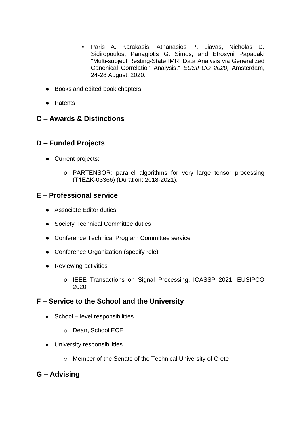- Paris A. Karakasis, Athanasios P. Liavas, Nicholas D. Sidiropoulos, Panagiotis G. Simos, and Efrosyni Papadaki "Multi-subject Resting-State fMRI Data Analysis via Generalized Canonical Correlation Analysis," *EUSIPCO 2020,* Amsterdam, 24-28 August, 2020.
- Books and edited book chapters
- Patents

## **C – Awards & Distinctions**

## **D – Funded Projects**

- Current projects:
	- o PARTENSOR: parallel algorithms for very large tensor processing (Τ1ΕΔΚ-03366) (Duration: 2018-2021).

# **E – Professional service**

- Associate Editor duties
- Society Technical Committee duties
- Conference Technical Program Committee service
- Conference Organization (specify role)
- Reviewing activities
	- o IEEE Transactions on Signal Processing, ICASSP 2021, EUSIPCO 2020.

## **F – Service to the School and the University**

- School level responsibilities
	- o Dean, School ECE
- University responsibilities
	- o Member of the Senate of the Technical University of Crete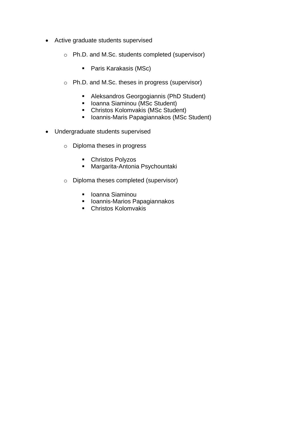- Active graduate students supervised
	- o Ph.D. and M.Sc. students completed (supervisor)
		- Paris Karakasis (MSc)
	- o Ph.D. and M.Sc. theses in progress (supervisor)
		- Aleksandros Georgogiannis (PhD Student)
		- Ioanna Siaminou (MSc Student)
		- Christos Kolomvakis (MSc Student)
		- Ioannis-Maris Papagiannakos (MSc Student)
- Undergraduate students supervised
	- o Diploma theses in progress
		- Christos Polyzos
		- Margarita-Antonia Psychountaki
	- o Diploma theses completed (supervisor)
		- Ioanna Siaminou
		- Ioannis-Marios Papagiannakos
		- Christos Kolomvakis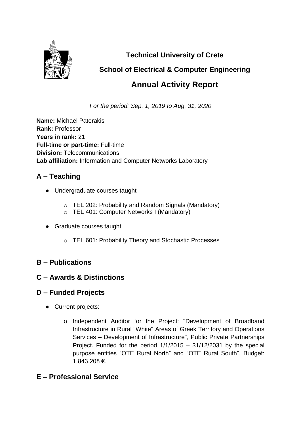

**Technical University of Crete**

# **School of Electrical & Computer Engineering**

# **Annual Activity Report**

*For the period: Sep. 1, 2019 to Aug. 31, 2020*

**Name:** Michael Paterakis **Rank:** Professor **Years in rank:** 21 **Full-time or part-time:** Full-time **Division:** Telecommunications **Lab affiliation:** Information and Computer Networks Laboratory

# **A – Teaching**

- Undergraduate courses taught
	- o TEL 202: Probability and Random Signals (Mandatory)
	- o TEL 401: Computer Networks I (Mandatory)
- Graduate courses taught
	- o TEL 601: Probability Theory and Stochastic Processes

# **B – Publications**

# **C – Awards & Distinctions**

# **D – Funded Projects**

- Current projects:
	- o Independent Auditor for the Project: "Development of Broadband Infrastructure in Rural "White" Areas of Greek Territory and Operations Services – Development of Infrastructure", Public Private Partnerships Project. Funded for the period 1/1/2015 – 31/12/2031 by the special purpose entities "OTE Rural North" and "OTE Rural South". Budget: 1.843.208 €.

# **E – Professional Service**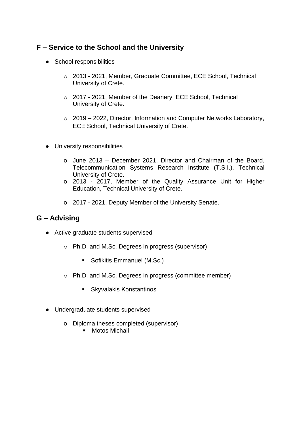## **F – Service to the School and the University**

- School responsibilities
	- o 2013 2021, Member, Graduate Committee, ECE School, Technical University of Crete.
	- o 2017 2021, Member of the Deanery, ECE School, Technical University of Crete.
	- o 2019 2022, Director, Information and Computer Networks Laboratory, ECE School, Technical University of Crete.
- University responsibilities
	- o June 2013 December 2021, Director and Chairman of the Board, Telecommunication Systems Research Institute (T.S.I.), Technical University of Crete.
	- o 2013 2017, Member of the Quality Assurance Unit for Higher Education, Technical University of Crete.
	- o 2017 2021, Deputy Member of the University Senate.

- Active graduate students supervised
	- o Ph.D. and M.Sc. Degrees in progress (supervisor)
		- Sofikitis Emmanuel (M.Sc.)
	- o Ph.D. and M.Sc. Degrees in progress (committee member)
		- Skyvalakis Konstantinos
- Undergraduate students supervised
	- o Diploma theses completed (supervisor)
		- Motos Michail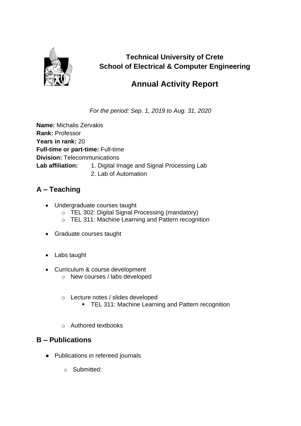

# **Technical University of Crete School of Electrical & Computer Engineering**

# **Annual Activity Report**

*For the period: Sep. 1, 2019 to Aug. 31, 2020*

**Name:** Michalis Zervakis **Rank:** Professor **Years in rank:** 20 **Full-time or part-time:** Full-time **Division:** Telecommunications Lab affiliation: 1. Digital Image and Signal Processing Lab 2. Lab of Automation

# **A – Teaching**

- Undergraduate courses taught
	- o TEL 302: Digital Signal Processing (mandatory)
	- o TEL 311: Machine Learning and Pattern recognition
- Graduate courses taught
- Labs taught
- Curriculum & course development
	- o New courses / labs developed
	- o Lecture notes / slides developed
		- **TEL 311: Machine Learning and Pattern recognition**
	- o Authored textbooks

- Publications in refereed journals
	- o Submitted: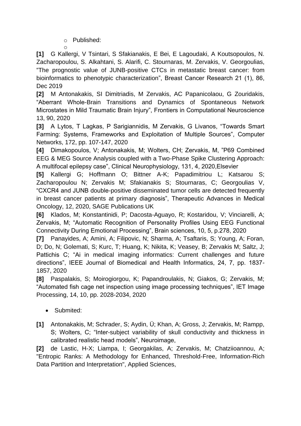o Published:

o **[1]** G Kallergi, V Tsintari, S Sfakianakis, E Bei, E Lagoudaki, A Koutsopoulos, N. Zacharopoulou, S. Alkahtani, S. Alarifi, C. Stournaras, M. Zervakis, V. Georgoulias, ["The prognostic value of JUNB-positive CTCs in metastatic breast cancer: from](javascript:void(0))  [bioinformatics to phenotypic characterization"](javascript:void(0)), Breast Cancer Research 21 (1), 86, Dec 2019

**[2]** M Antonakakis, SI Dimitriadis, M Zervakis, AC Papanicolaou, G Zouridakis, "Aberrant Whole-Brain Transitions and Dynamics of Spontaneous Network Microstates in Mild Traumatic Brain Injury", Frontiers in Computational Neuroscience 13, 90, 2020

**[3]** A Lytos, T Lagkas, P Sarigiannidis, M Zervakis, G Livanos, "Towards Smart Farming: Systems, Frameworks and Exploitation of Multiple Sources", Computer Networks, 172, pp. 107-147, 2020

**[4]** Dimakopoulos, V; Antonakakis, M; Wolters, CH; Zervakis, M, "P69 Combined EEG & MEG Source Analysis coupled with a Two-Phase Spike Clustering Approach: A multifocal epilepsy case", Clinical Neurophysiology, 131, 4, 2020,Elsevier

**[5]** Kallergi G; Hoffmann O; Bittner A-K; Papadimitriou L; Katsarou S; Zacharopoulou N; Zervakis M; Sfakianakis S; Stournaras, C; Georgoulias V, "CXCR4 and JUNB double-positive disseminated tumor cells are detected frequently in breast cancer patients at primary diagnosis", Therapeutic Advances in Medical Oncology, 12, 2020, SAGE Publications UK

**[6]** Klados, M; Konstantinidi, P; Dacosta-Aguayo, R; Kostaridou, V; Vinciarelli, A; Zervakis, M; "Automatic Recognition of Personality Profiles Using EEG Functional Connectivity During Emotional Processing", Brain sciences, 10, 5, p.278, 2020

**[7]** Panayides, A; Amini, A; Filipovic, N; Sharma, A; Tsaftaris, S; Young, A; Foran, D; Do, N; Golemati, S; Kurc, T; Huang, K; Nikita, K; Veasey, B; Zervakis M; Saltz, J; Pattichis C; "Ai in medical imaging informatics: Current challenges and future directions", IEEE Journal of Biomedical and Health Informatics, 24, 7, pp. 1837- 1857, 2020

**[8]** Paspalakis, S; Moirogiorgou, K; Papandroulakis, N; Giakos, G; Zervakis, M; "Automated fish cage net inspection using image processing techniques", IET Image Processing, 14, 10, pp. 2028-2034, 2020

- Submited:
- **[1]** Antonakakis, M; Schrader, S; Aydin, Ü; Khan, A; Gross, J; Zervakis, M; Rampp, S; Wolters, C; "Inter-subject variability of skull conductivity and thickness in calibrated realistic head models", Neuroimage,

**[2]** de Lastic, H-X; Liampa, I; Georgakilas, A; Zervakis, M; Chatziioannou, A; "Entropic Ranks: A Methodology for Enhanced, Threshold-Free, Information-Rich Data Partition and Interpretation", Applied Sciences,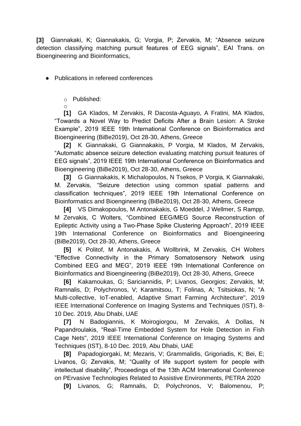**[3]** Giannakaki, K; Giannakakis, G; Vorgia, P; Zervakis, M; "Absence seizure detection classifying matching pursuit features of EEG signals", EAI Trans. on Bioengineering and Bioinformatics,

● Publications in refereed conferences

o Published:

o

**[1]** GA Klados, M Zervakis, R Dacosta-Aguayo, A Fratini, MA Klados, "Towards a Novel Way to Predict Deficits After a Brain Lesion: A Stroke Example", 2019 IEEE 19th International Conference on Bioinformatics and Bioengineering (BiBe2019), Oct 28-30, Athens, Greece

**[2]** K Giannakaki, G Giannakakis, P Vorgia, M Klados, M Zervakis, "Automatic absence seizure detection evaluating matching pursuit features of EEG signals", 2019 IEEE 19th International Conference on Bioinformatics and Bioengineering (BiBe2019), Oct 28-30, Athens, Greece

**[3]** G Giannakakis, K Michalopoulos, N Tsekos, P Vorgia, K Giannakaki, M. Zervakis, "Seizure detection using common spatial patterns and classification techniques", 2019 IEEE 19th International Conference on Bioinformatics and Bioengineering (BiBe2019), Oct 28-30, Athens, Greece

**[4]** VS Dimakopoulos, M Antonakakis, G Moeddel, J Wellmer, S Rampp, M Zervakis, C Wolters, "Combined EEG/MEG Source Reconstruction of Epileptic Activity using a Two-Phase Spike Clustering Approach", 2019 IEEE 19th International Conference on Bioinformatics and Bioengineering (BiBe2019), Oct 28-30, Athens, Greece

**[5]** K Politof, M Antonakakis, A Wollbrink, M Zervakis, CH Wolters "Effective Connectivity in the Primary Somatosensory Network using Combined EEG and MEG", 2019 IEEE 19th International Conference on Bioinformatics and Bioengineering (BiBe2019), Oct 28-30, Athens, Greece

**[6]** Kakamoukas, G; Sariciannidis, P; Livanos, Georgios; Zervakis, M; Ramnalis, D; Polychronos, V; Karamitsou, T; Folinas, A; Tsitsiokas, N; "A Multi-collective, IoT-enabled, Adaptive Smart Farming Architecture", 2019 IEEE International Conference on Imaging Systems and Techniques (IST), 8- 10 Dec. 2019, Abu Dhabi, UAE

**[7]** N Badogiannis, K Moirogiorgou, M Zervakis, A Dollas, N Papandroulakis, "Real-Time Embedded System for Hole Detection in Fish Cage Nets", 2019 IEEE International Conference on Imaging Systems and Techniques (IST), 8-10 Dec. 2019, Abu Dhabi, UAE

**[8]** Papadogiorgaki, M; Mezaris, V; Grammalidis, Grigoriadis, K; Bei, E; Livanos, G; Zervakis, M; "Quality of life support system for people with intellectual disability", Proceedings of the 13th ACM International Conference on PErvasive Technologies Related to Assistive Environments, PETRA 2020

**[9]** Livanos, G; Ramnalis, D; Polychronos, V; Balomenou, P;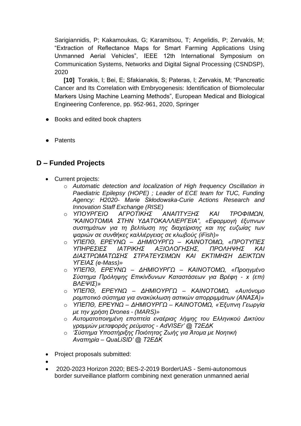Sarigiannidis, P; Kakamoukas, G; Karamitsou, T; Angelidis, P; Zervakis, M; "Extraction of Reflectance Maps for Smart Farming Applications Using Unmanned Aerial Vehicles", IEEE 12th International Symposium on Communication Systems, Networks and Digital Signal Processing (CSNDSP), 2020

**[10]** Torakis, I; Bei, E; Sfakianakis, S; Pateras, I; Zervakis, M; "Pancreatic Cancer and Its Correlation with Embryogenesis: Identification of Biomolecular Markers Using Machine Learning Methods", European Medical and Biological Engineering Conference, pp. 952-961, 2020, Springer

- Books and edited book chapters
- Patents

## **D – Funded Projects**

- Current projects:
	- o *Automatic detection and localization of High frequency Oscillation in Paediatric Epilepsy (HOPE) ; Leader of ECE team for TUC, Funding Agency: Η2020- Marie Skłodowska-Curie Actions Research and Innovation Staff Exchange (RISE)*
	- o *ΥΠΟΥΡΓΕΙΟ ΑΓΡΟΤΙΚΗΣ ΑΝΑΠΤΥΞΗΣ ΚΑΙ ΤΡΟΦΙΜΩΝ, "ΚΑΙΝΟΤΟΜΙΑ ΣΤΗΝ ΥΔΑΤΟΚΑΛΛΙΕΡΓΕΙΑ", «Εφαρμογή έξυπνων συστημάτων για τη βελτίωση της διαχείρισης και της ευζωίας των ψαριών σε συνθήκες καλλιέργειας σε κλωβούς (iFish)»*
	- o *ΥΠΕΠΘ, ΕΡΕΥΝΩ – ΔΗΜΙΟΥΡΓΩ – ΚΑΙΝΟΤΟΜΩ, «ΠΡΟΤΥΠΕΣ ΥΠΗΡΕΣΙΕΣ ΙΑΤΡΙΚΗΣ ΑΞΙΟΛΟΓΗΣΗΣ, ΠΡΟΛΗΨΗΣ ΚΑΙ ΔΙΑΣΤΡΩΜΑΤΩΣΗΣ ΣΤΡΑΤΕΥΣΙΜΩΝ ΚΑΙ ΕΚΤΙΜΗΣΗ ΔΕΙΚΤΩΝ ΥΓΕΙΑΣ (e-Mass)»*
	- o *ΥΠΕΠΘ, ΕΡΕΥΝΩ – ΔΗΜΙΟΥΡΓΩ – ΚΑΙΝΟΤΟΜΩ, «Προηγμένο Σύστημα Πρόληψης Επικίνδυνων Καταστάσεων για Βρέφη - x (επι) ΒΛΕΨΙΣ)»*
	- o *ΥΠΕΠΘ, ΕΡΕΥΝΩ – ΔΗΜΙΟΥΡΓΩ – ΚΑΙΝΟΤΟΜΩ, «Αυτόνομο ρομποτικό σύστημα για ανακύκλωση αστικών απορριμμάτων (ΑΝΑΣΑ)»*
	- o *ΥΠΕΠΘ, ΕΡΕΥΝΩ – ΔΗΜΙΟΥΡΓΩ – ΚΑΙΝΟΤΟΜΩ, «Έξυπνη Γεωργία με την χρήση Drones - (MARS)»*
	- o *Αυτοματοποιημένη εποπτεία εναέριας λήψης του Ελληνικού Δικτύου γραμμών μεταφοράς ρεύματος - AdVISEr' @ Τ2ΕΔΚ*
	- o *'Σύστημα Υποστήριξης Ποιότητας Ζωής για Άτομα με Νοητική Αναπηρία – QuaLiSID' @ Τ2ΕΔΚ*
- Project proposals submitted:
- •
- 2020-2023 Horizon 2020; BES-2-2019 BorderUAS Semi-autonomous border surveillance platform combining next generation unmanned aerial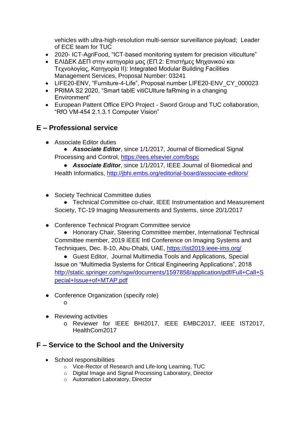vehicles with ultra-high-resolution multi-sensor surveillance payload; Leader of ECE team for TUC

- 2020- ICT-AgriFood, "ICT-based monitoring system for precision viticulture"
- ΕΛΙΔΕΚ ΔΕΠ στην κατηγορία μας (ΕΠ.2: Επιστήμες Μηχανικού και Τεχνολογίας, Κατηγορία ΙΙ): Integrated Modular Building Facilities Management Services, Proposal Number: 03241
- LIFE20-ENV, "Furniture-4-Life", Proposal number LIFE20-ENV\_CY\_000023
- PRIMA S2 2020, "Smart tablE vitiCUlture faRming in a changing Environment"
- European Pattent Office EPO Project Sword Group and TUC collaboration, "RfO VM-454 2.1.3.1 Computer Vision"

## **E – Professional service**

- Associate Editor duties
	- *Associate Editor*, since 1/1/2017, Journal of Biomedical Signal Processing and Control,<https://ees.elsevier.com/bspc>

● *Associate Editor*, since 1/1/2017, IEEE Journal of Biomedical and Health Informatics, http://jbhi.embs.org/editorial-board/associate-editors/

● Society Technical Committee duties

● Technical Committee co-chair, IEEE Instrumentation and Measurement Society, TC-19 Imaging Measurements and Systems, since 20/1/2017

● Conference Technical Program Committee service

● Honorary Chair, Steering Committee member, International Technical Committee member, 2019 IEEE Intl Conference on Imaging Systems and Techniques, Dec. 8-10, Abu-Dhabi, UAE, https://ist2019.ieee-ims.org/

● Guest Editor, Journal Multimedia Tools and Applications, Special Issue on "Multimedia Systems for Critical Engineering Applications", 2018 [http://static.springer.com/sgw/documents/1597858/application/pdf/Full+Call+S](http://static.springer.com/sgw/documents/1597858/application/pdf/Full+Call+Special+Issue+of+MTAP.pdf) [pecial+Issue+of+MTAP.pdf](http://static.springer.com/sgw/documents/1597858/application/pdf/Full+Call+Special+Issue+of+MTAP.pdf)

- Conference Organization (specify role) o
- Reviewing activities
	- o Reviewer for IEEE BHI2017, IEEE EMBC2017, IEEE IST2017, HealthCom2017

## **F – Service to the School and the University**

- School responsibilities
	- o Vice-Rector of Research and Life-long Learning, TUC
	- o Digital Image and Signal Processing Laboratory, Director
	- o Automation Laboratory, Director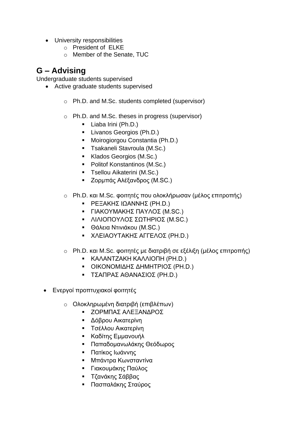- University responsibilities
	- o President of ELKE
	- o Member of the Senate, TUC

# **G – Advising**

Undergraduate students supervised

- Active graduate students supervised
	- o Ph.D. and M.Sc. students completed (supervisor)
	- o Ph.D. and M.Sc. theses in progress (supervisor)
		- Liaba Irini (Ph.D.)
		- Livanos Georgios (Ph.D.)
		- Moirogiorgou Constantia (Ph.D.)
		- **E** Tsakaneli Stavroula (M.Sc.)
		- Klados Georgios (M.Sc.)
		- Politof Konstantinos (M.Sc.)
		- **•** Tsellou Aikaterini (M.Sc.)
		- Ζορμπάς Αλέξανδρος (M.SC.)
	- o Ph.D. και M.Sc. φοιτητές που ολοκλήρωσαν (μέλος επιτροπής)
		- ΡΕΞΑΚΗΣ ΙΩΑΝΝΗΣ (PH.D.)
		- ΓΙΑΚΟΥΜΑΚΗΣ ΠΑΥΛΟΣ (M.SC.)
		- ΛΙΛΙΟΠΟΥΛΟΣ ΣΩΤΗΡΙΟΣ (M.SC.)
		- Θάλεια Ντινιάκου (M.SC.)
		- ΧΛΕΙΑΟΥΤΑΚΗΣ ΑΓΓΕΛΟΣ (PH.D.)
	- o Ph.D. και M.Sc. φοιτητές με διατριβή σε εξέλιξη (μέλος επιτροπής)
		- ΚΑΛΑΝΤΖΑΚΗ ΚΑΛΛΙΟΠΗ (PH.D.)
		- ΟΙΚΟΝΟΜΙΔΗΣ ΔΗΜΗΤΡΙΟΣ (PH.D.)
		- ΤΣΑΠΡΑΣ ΑΘΑΝΑΣΙΟΣ (PH.D.)
- Ενεργοί προπτυχιακοί φοιτητές
	- o Ολοκληρωμένη διατριβή (επιβλέπων)
		- ΖΟΡΜΠΑΣ ΑΛΕΞΑΝΔΡΟΣ
		- Δόβρου Αικατερίνη
		- Τσέλλου Αικατερίνη
		- Καδίτης Εμμανουήλ
		- Παπαδομανωλάκης Θεόδωρος
		- Πατίκος Ιωάννης
		- Μπάντρα Κωνσταντίνα
		- Γιακουμάκης Παύλος
		- Τζανάκης Σάββας
		- Πασπαλάκης Σταύρος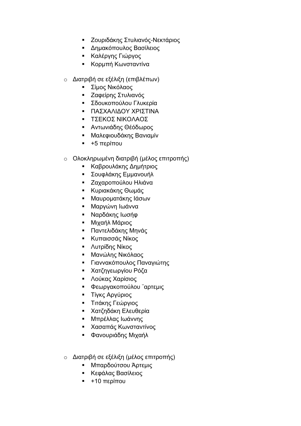- Ζουριδάκης Στυλιανός-Νεκτάριος
- Δημακόπουλος Βασίλειος
- Καλέργης Γιώργος
- Κορμπή Κωνσταντίνα
- o Διατριβή σε εξέλιξη (επιβλέπων)
	- Σίμος Νικόλαος
	- Ζαφείρης Στυλιανός
	- Σδουκοπούλου Γλυκερία
	- ΠΑΣΧΑΛΙΔΟΥ ΧΡΙΣΤΙΝΑ
	- ΤΣΕΚΟΣ ΝΙΚΟΛΑΟΣ
	- **Αντωνιάδης Θέόδωρος**
	- Μαλεφιουδάκης Βανιαμίν
	- +5 περίπου
- o Ολοκληρωμένη διατριβή (μέλος επιτροπής)
	- Καβρουλάκης Δημήτριος
	- Σουφλάκης Εμμανουήλ
	- Ζαχαροπούλου Ηλιάνα
	- **Κυριακάκης Θωμάς**
	- Μαυροματάκης Ιάσων
	- Μαργώνη Ιωάννα
	- **Ναρδάκης Ιωσήφ**
	- Μιχαήλ Μάριος
	- Παντελιδάκης Μηνάς
	- **Κυπαισσάς Νίκος**
	- Λυτρίδης Νίκος
	- Μανώλης Νικόλαος
	- Γιαννακόπουλος Παναγιώτης
	- Χατζηγεωργίου Ρόζα
	- Λούκας Χαρίσιος
	- Φεωργακοπούλου ¨αρτεμις
	- Τίγκς Αργύριος
	- Τιτάκης Γεώργιος
	- Χατζηδάκη Ελευθερία
	- Μπρέλλας Ιωάννης
	- Χασαπάς Κωνσταντίνος
	- Φανουριάδης Μιχαήλ
- o Διατριβή σε εξέλιξη (μέλος επιτροπής)
	- Μπαρδούτσου Άρτεμις
	- Κεφάλας Βασίλειος
	- +10 περίπου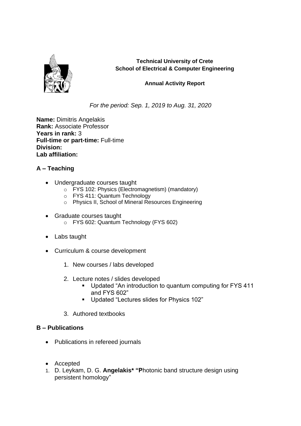

**Technical University of Crete School of Electrical & Computer Engineering**

#### **Annual Activity Report**

*For the period: Sep. 1, 2019 to Aug. 31, 2020*

**Name:** Dimitris Angelakis **Rank:** Associate Professor **Years in rank:** 3 **Full-time or part-time:** Full-time **Division: Lab affiliation:** 

#### **A – Teaching**

- Undergraduate courses taught
	- o FYS 102: Physics (Electromagnetism) (mandatory)
	- o FYS 411: Quantum Technology
	- o Physics II, School of Mineral Resources Engineering
- Graduate courses taught o FYS 602: Quantum Technology (FYS 602)
- Labs taught
- Curriculum & course development
	- 1. New courses / labs developed
	- 2. Lecture notes / slides developed
		- Updated "An introduction to quantum computing for FYS 411 and FYS 602"
		- Updated "Lectures slides for Physics 102"
	- 3. Authored textbooks

- Publications in refereed journals
- Accepted
- 1. D. Leykam, D. G. **Angelakis\* "P**hotonic band structure design using persistent homology"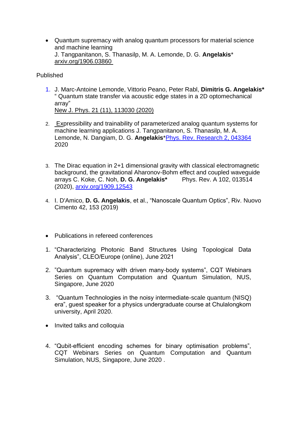• Quantum supremacy with analog quantum processors for material science and machine learning J. Tangpanitanon, S. Thanasilp, M. A. Lemonde, D. G. **Angelakis**\* [arxiv.org/1906.03860](https://arxiv.org/abs/1906.03860)

**Published** 

1. J. Marc-Antoine Lemonde, Vittorio Peano, Peter Rabl, **Dimitris G. Angelakis\*** " Quantum state transfer via acoustic edge states in a 2D optomechanical array"

[New J. Phys. 21 \(11\), 113030](http://dimitrisangelakis.org/wp-content/uploads/2020/01/Quantum-state-transfer-via-acoustic-edge-states-in-a-2D-optomechanical-array.pdf) (2020)

- 2. Expressibility and trainability of parameterized analog quantum systems for machine learning applications J. Tangpanitanon, S. Thanasilp, M. A. Lemonde, N. Dangiam, D. G. **Angelakis**[\\*Phys. Rev. Research 2, 043364](https://journals.aps.org/prresearch/abstract/10.1103/PhysRevResearch.2.043364) 2020
- 3. The Dirac equation in 2+1 dimensional gravity with classical electromagnetic background, the gravitational Aharonov-Bohm effect and coupled waveguide arrays C. Koke, C. Noh, **D. G. Angelakis\*** Phys. Rev. A 102, 013514 (2020), [arxiv.org/1909.12543](https://arxiv.org/abs/1909.12543)
- 4. I. D'Amico, **D. G. Angelakis**, et al., "Nanoscale Quantum Optics", Riv. Nuovo Cimento 42, 153 (2019)
- Publications in refereed conferences
- 1. "Characterizing Photonic Band Structures Using Topological Data Analysis", CLEO/Europe (online), June 2021
- 2. "Quantum supremacy with driven many-body systems", CQT Webinars Series on Quantum Computation and Quantum Simulation, NUS, Singapore, June 2020
- 3. "Quantum Technologies in the noisy intermediate-scale quantum (NISQ) era", guest speaker for a physics undergraduate course at Chulalongkorn university, April 2020.
- Invited talks and colloquia
- 4. "Qubit-efficient encoding schemes for binary optimisation problems", CQT Webinars Series on Quantum Computation and Quantum Simulation, NUS, Singapore, June 2020 .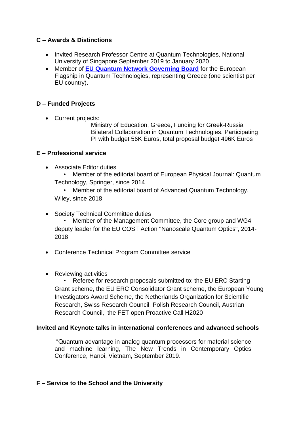#### **C – Awards & Distinctions**

- Invited Research Professor Centre at Quantum Technologies, National University of Singapore September 2019 to January 2020
- Member of **[EU Quantum Network Governing Board](https://qt.eu/about-quantum-flagship/the-quantum-flagship-community/quantum-community-network/)** for the European Flagship in Quantum Technologies, representing Greece (one scientist per EU country).

#### **D – Funded Projects**

• Current projects:

Ministry of Education, Greece, Funding for Greek-Russia Bilateral Collaboration in Quantum Technologies. Participating PI with budget 56K Euros, total proposal budget 496K Euros

#### **E – Professional service**

- Associate Editor duties
	- Member of the editorial board of European Physical Journal: Quantum Technology, Springer, since 2014

• Member of the editorial board of Advanced Quantum Technology, Wiley, since 2018

- Society Technical Committee duties • Member of the Management Committee, the Core group and WG4 deputy leader for the EU COST Action "Nanoscale Quantum Optics", 2014- 2018
- Conference Technical Program Committee service
- Reviewing activities

• Referee for research proposals submitted to: the EU ERC Starting Grant scheme, the EU ERC Consolidator Grant scheme, the European Young Investigators Award Scheme, the Netherlands Organization for Scientific Research, Swiss Research Council, Polish Research Council, Austrian Research Council, the FET open Proactive Call H2020

#### **Invited and Keynote talks in international conferences and advanced schools**

"Quantum advantage in analog quantum processors for material science and machine learning, The New Trends in Contemporary Optics Conference, Hanoi, Vietnam, September 2019.

#### **F – Service to the School and the University**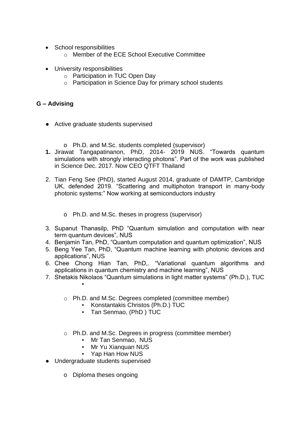- School responsibilities
	- o Member of the ECE School Executive Committee
- University responsibilities
	- o Participation in TUC Open Day
	- o Participation in Science Day for primary school students

- Active graduate students supervised
	- o Ph.D. and M.Sc. students completed (supervisor)
- **1.** Jirawat Tangapatinanon, PhD, 2014- 2019 NUS. "Towards quantum simulations with strongly interacting photons". Part of the work was published in Science Dec. 2017. Now CEO QTFT Thailand
- 2. Tian Feng See (PhD), started August 2014, graduate of DAMTP, Cambridge UK, defended 2019. "Scattering and multiphoton transport in many-body photonic systems:" Now working at semiconductors industry
	- o Ph.D. and M.Sc. theses in progress (supervisor)
- 3. Supanut Thanasilp, PhD "Quantum simulation and computation with near term quantum devices", NUS
- 4. Benjamin Tan, PhD, "Quantum computation and quantum optimization", NUS
- 5. Beng Yee Tan, PhD, "Quantum machine learning with photonic devices and applications", NUS
- 6. Chee Chong Hian Tan, PhD,. "Variational quantum algorithms and applications in quantum chemistry and machine learning", NUS
- 7. Shetakis Nikolaos "Quantum simulations in light matter systems" (Ph.D.), TUC ▪
	- o Ph.D. and M.Sc. Degrees completed (committee member)
		- Konstantakis Christos (Ph.D.) TUC
		- Tan Senmao, (PhD ) TUC
	- o Ph.D. and M.Sc. Degrees in progress (committee member)
		- Mr Tan Senmao, NUS
		- Mr Yu Xianquan NUS
		- Yap Han How NUS
- Undergraduate students supervised
	- o Diploma theses ongoing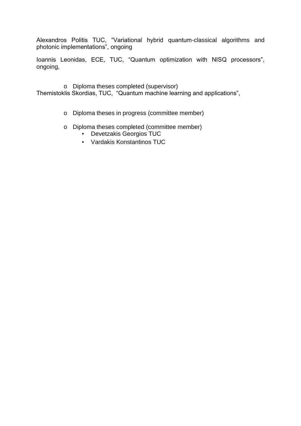Alexandros Politis TUC, "Variational hybrid quantum-classical algorithms and photonic implementations", οngoing

Ioannis Leonidas, ECE, TUC, "Quantum optimization with NISQ processors", ongoing,

o Diploma theses completed (supervisor) Themistoklis Skordias, TUC, "Quantum machine learning and applications",

- o Diploma theses in progress (committee member)
- o Diploma theses completed (committee member)
	- Devetzakis Georgios TUC
	- Vardakis Konstantinos TUC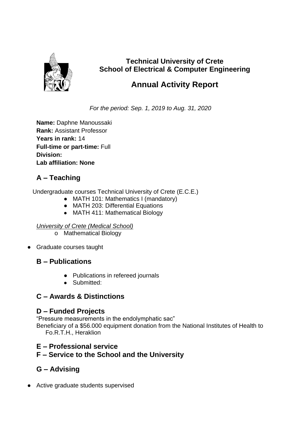

# **Technical University of Crete School of Electrical & Computer Engineering**

# **Annual Activity Report**

*For the period: Sep. 1, 2019 to Aug. 31, 2020*

**Name:** Daphne Manoussaki **Rank:** Assistant Professor **Years in rank:** 14 **Full-time or part-time:** Full **Division: Lab affiliation: None**

# **A – Teaching**

Undergraduate courses Technical University of Crete (E.C.E.)

- MATH 101: Mathematics I (mandatory)
- MATH 203: Differential Equations
- MATH 411: Mathematical Biology

### *University of Crete (Medical School)*

- o Mathematical Biology
- Graduate courses taught

# **B – Publications**

- Publications in refereed journals
- Submitted:

# **C – Awards & Distinctions**

# **D – Funded Projects**

"Pressure measurements in the endolymphatic sac"

Beneficiary of a \$56.000 equipment donation from the National Institutes of Health to Fo.R.T.H., Heraklion

# **E – Professional service**

# **F – Service to the School and the University**

# **G – Advising**

● Active graduate students supervised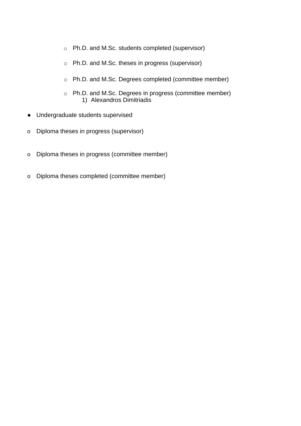- o Ph.D. and M.Sc. students completed (supervisor)
- o Ph.D. and M.Sc. theses in progress (supervisor)
- o Ph.D. and M.Sc. Degrees completed (committee member)
- o Ph.D. and M.Sc. Degrees in progress (committee member) 1) Alexandros Dimitriadis
- Undergraduate students supervised
- o Diploma theses in progress (supervisor)
- o Diploma theses in progress (committee member)
- o Diploma theses completed (committee member)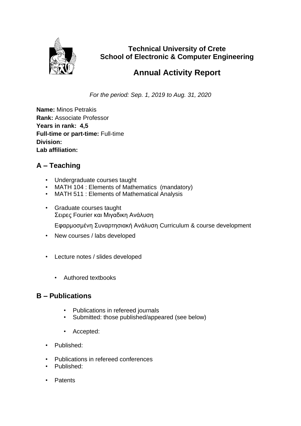

**Technical University of Crete School of Electronic & Computer Engineering**

# **Annual Activity Report**

*For the period: Sep. 1, 2019 to Aug. 31, 2020*

**Name:** Minos Petrakis **Rank:** Associate Professor **Years in rank: 4,5 Full-time or part-time:** Full-time **Division: Lab affiliation:** 

# **A – Teaching**

- Undergraduate courses taught
- MATH 104 : Elements of Mathematics (mandatory)
- MATH 511 : Elements of Mathematical Analysis
- Graduate courses taught Σειρες Fourier και Μιγαδικη Ανάλυση

Eφαρμοσμένη Συναρτησιακή Ανάλυση Curriculum & course development

- New courses / labs developed
- Lecture notes / slides developed
	- Authored textbooks

- Publications in refereed journals
- Submitted: those published/appeared (see below)
- Accepted:
- Published:
- Publications in refereed conferences
- Published:
- Patents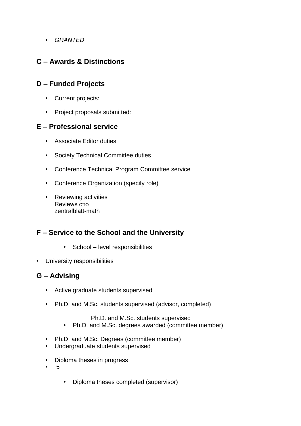• *GRANTED*

# **C – Awards & Distinctions**

## **D – Funded Projects**

- Current projects:
- Project proposals submitted:

### **E – Professional service**

- Associate Editor duties
- Society Technical Committee duties
- Conference Technical Program Committee service
- Conference Organization (specify role)
- Reviewing activities Reviews στο zentralblatt-math

# **F – Service to the School and the University**

- School level responsibilities
- University responsibilities

## **G – Advising**

- Active graduate students supervised
- Ph.D. and M.Sc. students supervised (advisor, completed)

Ph.D. and M.Sc. students supervised

- Ph.D. and M.Sc. degrees awarded (committee member)
- Ph.D. and M.Sc. Degrees (committee member)
- Undergraduate students supervised
- Diploma theses in progress
- 5
- Diploma theses completed (supervisor)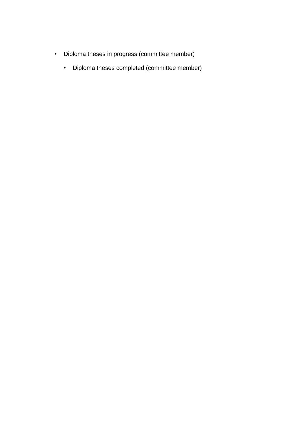- Diploma theses in progress (committee member)
	- Diploma theses completed (committee member)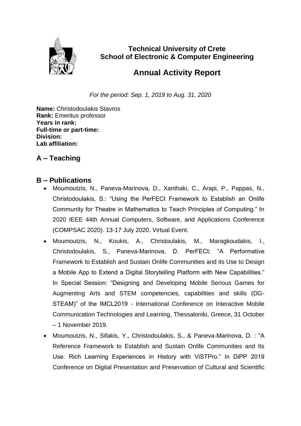

**Technical University of Crete School of Electronic & Computer Engineering**

# **Annual Activity Report**

*For the period: Sep. 1, 2019 to Aug. 31, 2020*

**Name:** Christodoulakis Stavros **Rank:** Emeritus professor **Years in rank: Full-time or part-time: Division: Lab affiliation:** 

# **A – Teaching**

- Moumoutzis, N., Paneva-Marinova, D., Xanthaki, C., Arapi, P., Pappas, N., Christodoulakis, S.: "Using the PerFECt Framework to Establish an Onlife Community for Theatre in Mathematics to Teach Principles of Computing." In 2020 IEEE 44th Annual Computers, Software, and Applications Conference (COMPSAC 2020). 13-17 July 2020. Virtual Event.
- Moumoutzis, N., Koukis, A., Christoulakis, M., Maragkoudakis, I., Christodoulakis, S., Paneva-Marinova, D. PerFECt: "A Performative Framework to Establish and Sustain Onlife Communities and its Use to Design a Mobile App to Extend a Digital Storytelling Platform with New Capabilities." In Special Session: "Designing and Developing Mobile Serious Games for Augmenting Arts and STEM competencies, capabilities and skills (DG-STEAM)" of the IMCL2019 - International Conference on Interactive Mobile Communication Technologies and Learning, Thessaloniki, Greece, 31 October – 1 November 2019.
- Moumoutzis, N., Sifakis, Y., Christodoulakis, S., & Paneva-Marinova, D. : "A Reference Framework to Establish and Sustain Onlife Communities and Its Use. Rich Learning Experiences in History with ViSTPro." In DiPP 2019 Conference on Digital Presentation and Preservation of Cultural and Scientific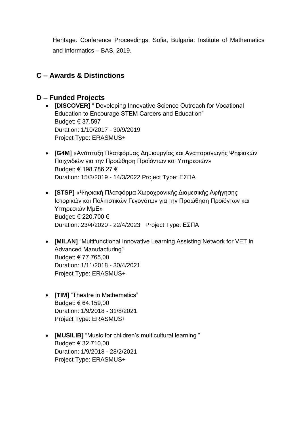Heritage. Conference Proceedings. Sofia, Bulgaria: Institute of Mathematics and Informatics – BAS, 2019.

# **C – Awards & Distinctions**

### **D – Funded Projects**

- **[DISCOVER]** " Developing Innovative Science Outreach for Vocational Education to Encourage STEM Careers and Education" Budget: € 37.597 Duration: 1/10/2017 - 30/9/2019 Project Type: ERASMUS+
- **[G4M]** «Ανάπτυξη Πλατφόρμας Δημιουργίας και Αναπαραγωγής Ψηφιακών Παιχνιδιών για την Προώθηση Προϊόντων και Υπηρεσιών» Budget: € 198.786,27 € Duration: 15/3/2019 - 14/3/2022 Project Type: ΕΣΠΑ
- **[STSP]** «Ψηφιακή Πλατφόρμα Χωροχρονικής Διαμεσικής Αφήγησης Ιστορικών και Πολιτιστικών Γεγονότων για την Προώθηση Προϊόντων και Υπηρεσιών ΜμΕ» Budget: € 220.700 € Duration: 23/4/2020 - 22/4/2023 Project Type: ΕΣΠΑ
- **[MILAN]** "Multifunctional Innovative Learning Assisting Network for VET in Advanced Manufacturing" Budget: € 77.765,00 Duration: 1/11/2018 - 30/4/2021 Project Type: ERASMUS+
- **[TIM]** "Theatre in Mathematics" Budget: € 64.159,00 Duration: 1/9/2018 - 31/8/2021 Project Type: ERASMUS+
- **[MUSILIB]** "Music for children's multicultural learning " Budget: € 32.710,00 Duration: 1/9/2018 - 28/2/2021 Project Type: ERASMUS+